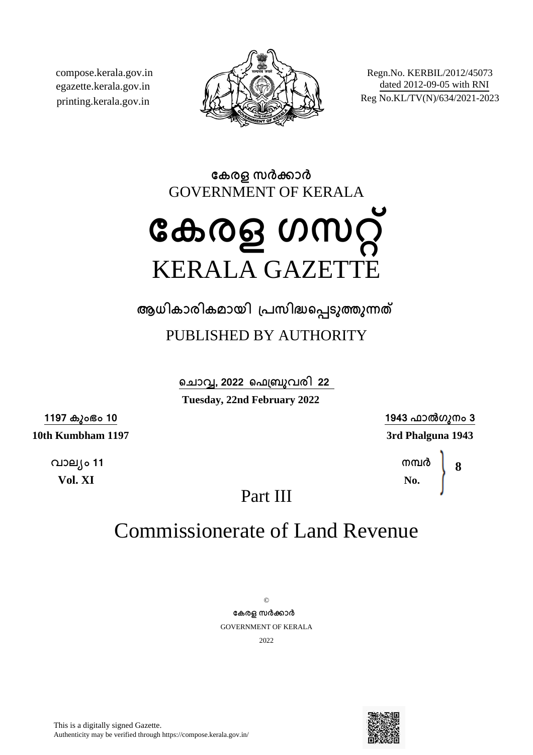compose.kerala.gov.in egazette.kerala.gov.in printing.kerala.gov.in



Regn.No. KERBIL/2012/45073 dated 2012-09-05 with RNI Reg No.KL/TV(N)/634/2021-2023

**േകരള സരകാര** GOVERNMENT OF KERALA

# **േകരള ഗസറ്** KERALA GAZETTE

**ആധികാരികമായി ്പസിദെപടുതുനത**

## PUBLISHED BY AUTHORITY

**െചാവ, 2022 െഫ്ബുവരി 22 Tuesday, 22nd February 2022**

**1197 കുംഭം 10**

**10th Kumbham 1197**

**വാല്ം 11 Vol. XI**

**1943 ഫാൽഗുനം 3 3rd Phalguna 1943**

> **നമര No. 8**

Part III

## Commissionerate of Land Revenue

 $\odot$ **േകരള സരകാര** GOVERNMENT OF KERALA 2022

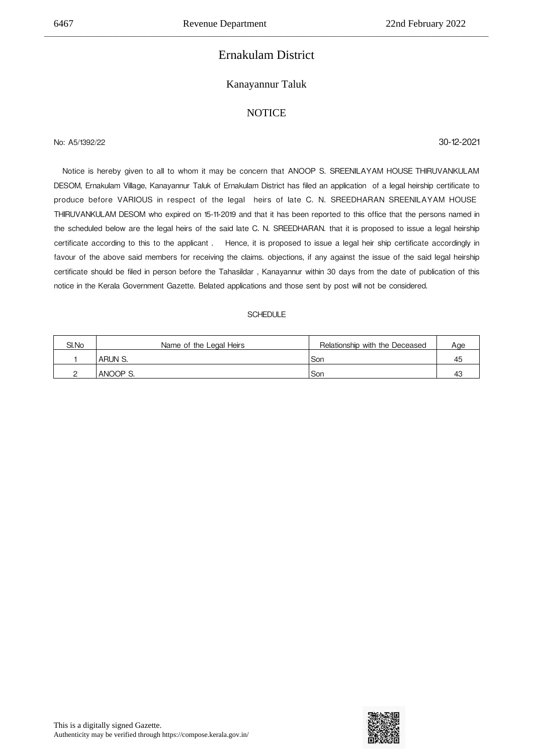## Ernakulam District

\_\_\_\_\_\_\_\_\_\_\_\_\_\_\_\_\_\_\_\_\_\_\_\_\_\_\_\_\_\_\_\_\_\_\_\_\_\_\_\_\_\_\_\_\_\_\_\_\_\_\_\_\_\_\_\_\_\_\_\_\_\_\_\_\_\_\_\_\_\_\_\_\_\_\_\_\_\_\_\_\_\_\_\_\_\_\_\_\_\_\_\_\_\_\_\_\_\_\_\_\_\_\_\_\_\_\_\_\_\_\_\_\_\_\_\_\_\_\_\_\_\_\_\_

### Kanayannur Taluk

### **NOTICE**

## No: A5/1392/22 30-12-2021

 Notice is hereby given to all to whom it may be concern that ANOOP S. SREENILAYAM HOUSE
THIRUVANKULAM DESOM, Ernakulam Village, Kanayannur Taluk of Ernakulam District has filed an application of a legal heirship certificate to produce before VARIOUS in respect of the legal heirs of late C. N. SREEDHARAN SREENILAYAM HOUSE THIRUVANKULAM DESOM who expired on 15-11-2019 and that it has been reported to this office that the persons named in the scheduled below are the legal heirs of the said late C. N. SREEDHARAN. that it is proposed to issue a legal heirship certificate according to this to the applicant . 

 Hence, it is proposed to issue a legal heir ship certificate accordingly in favour of the above said members for receiving the claims. objections, if any against the issue of the said legal heirship certificate should be filed in person before the Tahasildar , Kanayannur within 30 days from the date of publication of this notice in the Kerala Government Gazette. Belated applications and those sent by post will not be considered.

| SI.No | Name of the Legal Heirs | Relationship with the Deceased | Age |
|-------|-------------------------|--------------------------------|-----|
|       | ARUN S.                 | Son                            | 45  |
|       | ANOOP S.                | .Sor                           |     |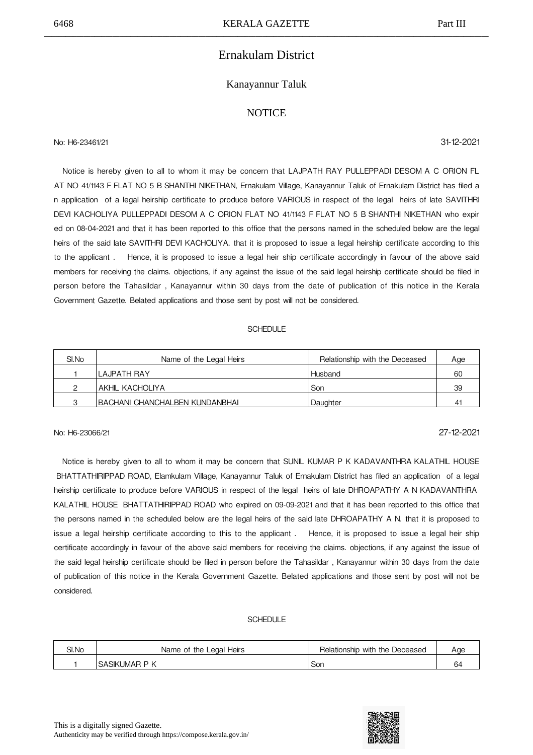## Ernakulam District

### Kanayannur Taluk

### **NOTICE**

No: H6-23461/21 31-12-2021

 Notice is hereby given to all to whom it may be concern that LAJPATH RAY PULLEPPADI DESOM
A C ORION FL AT NO 41/1143 F
FLAT NO 5 B
SHANTHI NIKETHAN, Ernakulam Village, Kanayannur Taluk of Ernakulam District has filed a n application of a legal heirship certificate to produce before VARIOUS in respect of the legal heirs of late SAVITHRI DEVI KACHOLIYA PULLEPPADI DESOM A C ORION FLAT NO 41/1143 F FLAT NO 5 B SHANTHI NIKETHAN who expir ed on 08-04-2021 and that it has been reported to this office that the persons named in the scheduled below are the legal heirs of the said late SAVITHRI DEVI KACHOLIYA. that it is proposed to issue a legal heirship certificate according to this to the applicant. Hence, it is proposed to issue a legal heir ship certificate accordingly in favour of the above said members for receiving the claims. objections, if any against the issue of the said legal heirship certificate should be filed in person before the Tahasildar , Kanayannur within 30 days from the date of publication of this notice in the Kerala Government Gazette. Belated applications and those sent by post will not be considered.

#### SCHEDULE

| SI.No | Name of the Legal Heirs                | Relationship with the Deceased | Age            |
|-------|----------------------------------------|--------------------------------|----------------|
|       | ILAJPATH RAY                           | Husband                        | 60             |
|       | AKHIL KACHOLIYA                        | Son                            | 39             |
|       | <b>IBACHANI CHANCHALBEN KUNDANBHAI</b> | Daughter                       | 4 <sup>1</sup> |

## No: H6-23066/21 27-12-2021

Notice is hereby given to all to whom it may be concern that SUNIL KUMAR P K KADAVANTHRA KALATHIL HOUSE BHATTATHIRIPPAD ROAD, Elamkulam Village, Kanayannur Taluk of Ernakulam District has filed an application of a legal heirship certificate to produce before VARIOUS in respect of the legal heirs of late DHROAPATHY A N KADAVANTHRA KALATHIL HOUSE 
BHATTATHIRIPPAD ROAD who expired on 09-09-2021 and that it has been reported to this office that the persons named in the scheduled below are the legal heirs of the said late DHROAPATHY A N. that it is proposed to issue a legal heirship certificate according to this to the applicant . Hence, it is proposed to issue a legal heir ship certificate accordingly in favour of the above said members for receiving the claims. objections, if any against the issue of the said legal heirship certificate should be filed in person before the Tahasildar , Kanayannur within 30 days from the date of publication of this notice in the Kerala Government Gazette. Belated applications and those sent by post will not be considered.

| SI.No | Heirs<br>the Legal H<br>Name of | Relationship with<br>-<br>the<br>Deceased | Aae |
|-------|---------------------------------|-------------------------------------------|-----|
|       | D<br>.SASIKUMAP                 | Sor                                       | 64  |

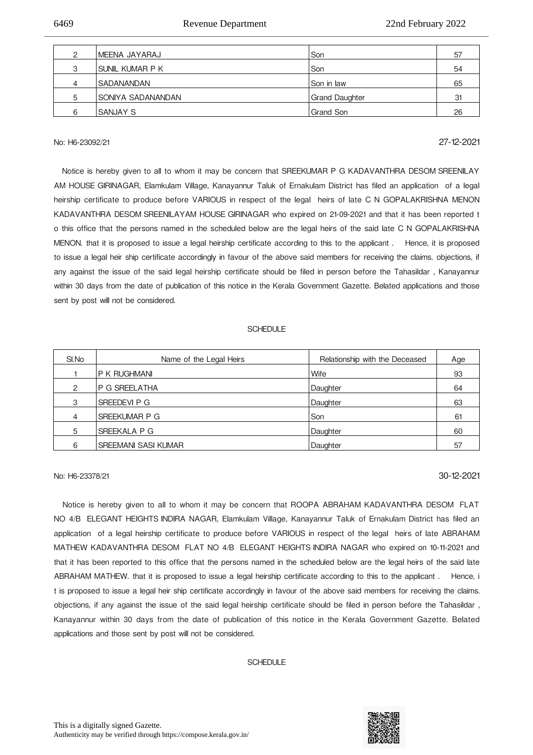| C | IMEENA JAYARAJ     | Son            | 57 |
|---|--------------------|----------------|----|
| З | ISUNIL KUMAR P K   | Son            | 54 |
|   | <b>SADANANDAN</b>  | Son in law     | 65 |
| 5 | ISONIYA SADANANDAN | Grand Daughter | 31 |
| 6 | ISANJAY S          | l Grand Son    | 26 |

\_\_\_\_\_\_\_\_\_\_\_\_\_\_\_\_\_\_\_\_\_\_\_\_\_\_\_\_\_\_\_\_\_\_\_\_\_\_\_\_\_\_\_\_\_\_\_\_\_\_\_\_\_\_\_\_\_\_\_\_\_\_\_\_\_\_\_\_\_\_\_\_\_\_\_\_\_\_\_\_\_\_\_\_\_\_\_\_\_\_\_\_\_\_\_\_\_\_\_\_\_\_\_\_\_\_\_\_\_\_\_\_\_\_\_\_\_\_\_\_\_\_\_\_

## No: H6-23092/21 27-12-2021

 Notice is hereby given to all to whom it may be concern that SREEKUMAR P G KADAVANTHRA DESOM
SREENILAY AM HOUSE
GIRINAGAR, Elamkulam Village, Kanayannur Taluk of Ernakulam District has filed an application of a legal heirship certificate to produce before VARIOUS in respect of the legal heirs of late C N GOPALAKRISHNA MENON KADAVANTHRA DESOM
SREENILAYAM HOUSE
GIRINAGAR who expired on 21-09-2021 and that it has been reported t o this office that the persons named in the scheduled below are the legal heirs of the said late C N GOPALAKRISHNA MENON. that it is proposed to issue a legal heirship certificate according to this to the applicant. Hence, it is proposed to issue a legal heir ship certificate accordingly in favour of the above said members for receiving the claims. objections, if any against the issue of the said legal heirship certificate should be filed in person before the Tahasildar , Kanayannur within 30 days from the date of publication of this notice in the Kerala Government Gazette. Belated applications and those sent by post will not be considered.

#### SCHEDULE

| SI.No          | Name of the Legal Heirs | Relationship with the Deceased | Age |
|----------------|-------------------------|--------------------------------|-----|
|                | P K RUGHMANI            | Wife                           | 93  |
| $\overline{2}$ | P G SREELATHA           | Daughter                       | 64  |
| 3              | SREEDEVI P G            | Daughter                       | 63  |
| 4              | SREEKUMAR P G           | Son                            | 61  |
| 5              | SREEKALA P G            | Daughter                       | 60  |
| 6              | SREEMANI SASI KUMAR     | Daughter                       | 57  |

## No: H6-23378/21 30-12-2021

 Notice is hereby given to all to whom it may be concern that ROOPA ABRAHAM KADAVANTHRA DESOM 
FLAT NO 4/B ELEGANT HEIGHTS INDIRA NAGAR, Elamkulam Village, Kanayannur Taluk of Ernakulam District has filed an application of a legal heirship certificate to produce before VARIOUS in respect of the legal heirs of late ABRAHAM MATHEW KADAVANTHRA DESOM FLAT NO 4/B ELEGANT HEIGHTS INDIRA NAGAR who expired on 10-11-2021 and that it has been reported to this office that the persons named in the scheduled below are the legal heirs of the said late ABRAHAM MATHEW, that it is proposed to issue a legal heirship certificate according to this to the applicant. Hence, i t is proposed to issue a legal heir ship certificate accordingly in favour of the above said members for receiving the claims. objections, if any against the issue of the said legal heirship certificate should be filed in person before the Tahasildar , Kanayannur within 30 days from the date of publication of this notice in the Kerala Government Gazette. Belated applications and those sent by post will not be considered.

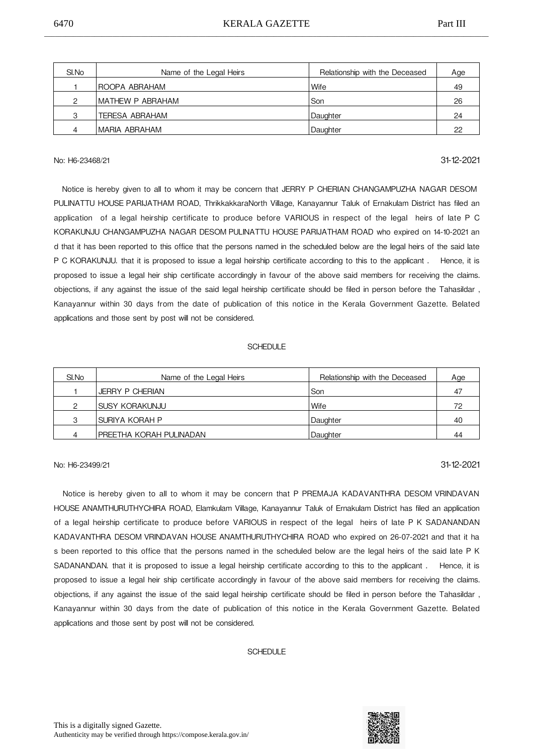| SI.No | Name of the Legal Heirs | Relationship with the Deceased | Age |
|-------|-------------------------|--------------------------------|-----|
|       | <b>ROOPA ABRAHAM</b>    | Wife                           | 49  |
| ◠     | IMATHEW P ABRAHAM       | Son                            | 26  |
| 3     | <b>TERESA ABRAHAM</b>   | Daughter                       | 24  |
|       | IMARIA ABRAHAM          | Daughter                       | 22  |

## No: H6-23468/21 31-12-2021

 Notice is hereby given to all to whom it may be concern that JERRY P CHERIAN CHANGAMPUZHA NAGAR DESOM PULINATTU HOUSE PARIJATHAM ROAD, ThrikkakkaraNorth Village, Kanayannur Taluk of Ernakulam District has filed an application of a legal heirship certificate to produce before VARIOUS in respect of the legal heirs of late P C KORAKUNJU CHANGAMPUZHA NAGAR DESOM
PULINATTU HOUSE
PARIJATHAM ROAD who expired on 14-10-2021 an d that it has been reported to this office that the persons named in the scheduled below are the legal heirs of the said late P C KORAKUNJU, that it is proposed to issue a legal heirship certificate according to this to the applicant. Hence, it is proposed to issue a legal heir ship certificate accordingly in favour of the above said members for receiving the claims. objections, if any against the issue of the said legal heirship certificate should be filed in person before the Tahasildar , Kanayannur within 30 days from the date of publication of this notice in the Kerala Government Gazette. Belated applications and those sent by post will not be considered.

#### **SCHEDULE**

| SI.No | Name of the Legal Heirs  | Relationship with the Deceased | Age |
|-------|--------------------------|--------------------------------|-----|
|       | JERRY P CHERIAN          | Son                            | 47  |
|       | ISUSY KORAKUNJU          | Wife                           | 72  |
| 3     | ISURIYA KORAH P          | Daughter                       | 40  |
| 4     | IPREETHA KORAH PULINADAN | Daughter                       | 44  |

## No: H6-23499/21 31-12-2021

Notice is hereby given to all to whom it may be concern that P PREMAJA KADAVANTHRA DESOM VRINDAVAN HOUSE
ANAMTHURUTHYCHIRA ROAD, Elamkulam Village, Kanayannur Taluk of Ernakulam District has filed an application of a legal heirship certificate to produce before VARIOUS in respect of the legal heirs of late P K SADANANDAN KADAVANTHRA DESOM VRINDAVAN HOUSE ANAMTHURUTHYCHIRA ROAD who expired on 26-07-2021 and that it ha s been reported to this office that the persons named in the scheduled below are the legal heirs of the said late P K SADANANDAN. that it is proposed to issue a legal heirship certificate according to this to the applicant. Hence, it is proposed to issue a legal heir ship certificate accordingly in favour of the above said members for receiving the claims. objections, if any against the issue of the said legal heirship certificate should be filed in person before the Tahasildar , Kanayannur within 30 days from the date of publication of this notice in the Kerala Government Gazette. Belated applications and those sent by post will not be considered.

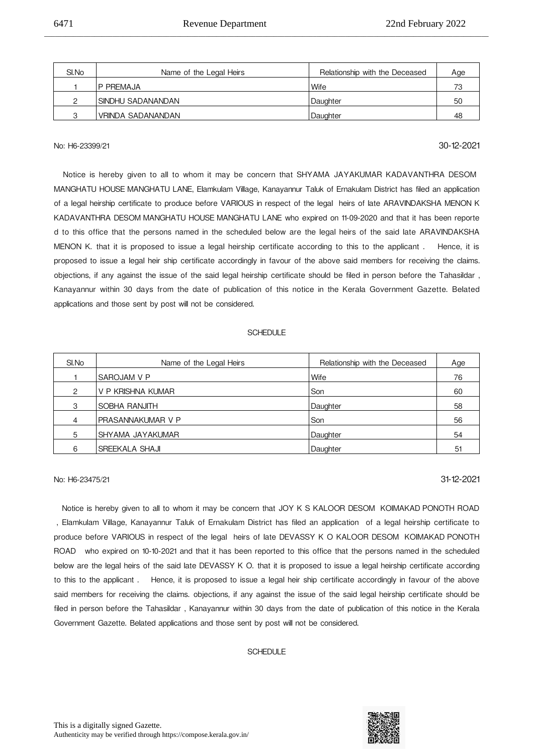| SI.No | Name of the Legal Heirs | Relationship with the Deceased | Age |
|-------|-------------------------|--------------------------------|-----|
|       | IP PRFMAJA              | l Wife                         | 73  |
|       | 'SINDHU SADANANDAN      | Daughter                       | 50  |
|       | VRINDA SADANANDAN       | Daughter                       | 48  |

\_\_\_\_\_\_\_\_\_\_\_\_\_\_\_\_\_\_\_\_\_\_\_\_\_\_\_\_\_\_\_\_\_\_\_\_\_\_\_\_\_\_\_\_\_\_\_\_\_\_\_\_\_\_\_\_\_\_\_\_\_\_\_\_\_\_\_\_\_\_\_\_\_\_\_\_\_\_\_\_\_\_\_\_\_\_\_\_\_\_\_\_\_\_\_\_\_\_\_\_\_\_\_\_\_\_\_\_\_\_\_\_\_\_\_\_\_\_\_\_\_\_\_\_

## No: H6-23399/21 30-12-2021

 Notice is hereby given to all to whom it may be concern that SHYAMA JAYAKUMAR KADAVANTHRA DESOM MANGHATU HOUSE
MANGHATU LANE, Elamkulam Village, Kanayannur Taluk of Ernakulam District has filed an application of a legal heirship certificate to produce before VARIOUS in respect of the legal heirs of late ARAVINDAKSHA MENON K KADAVANTHRA DESOM
MANGHATU HOUSE
MANGHATU LANE who expired on 11-09-2020 and that it has been reporte d to this office that the persons named in the scheduled below are the legal heirs of the said late ARAVINDAKSHA MENON K, that it is proposed to issue a legal heirship certificate according to this to the applicant. Hence, it is proposed to issue a legal heir ship certificate accordingly in favour of the above said members for receiving the claims. objections, if any against the issue of the said legal heirship certificate should be filed in person before the Tahasildar , Kanayannur within 30 days from the date of publication of this notice in the Kerala Government Gazette. Belated applications and those sent by post will not be considered.

#### **SCHEDULE**

| SI.No         | Name of the Legal Heirs | Relationship with the Deceased | Age |
|---------------|-------------------------|--------------------------------|-----|
|               | <b>SAROJAM V P</b>      | Wife                           | 76  |
| $\mathcal{P}$ | V P KRISHNA KUMAR       | Son                            | 60  |
| 3             | <b>SOBHA RANJITH</b>    | Daughter                       | 58  |
| 4             | IPRASANNAKUMAR V P      | Son                            | 56  |
| 5             | SHYAMA JAYAKUMAR        | Daughter                       | 54  |
| 6             | <b>SREEKALA SHAJI</b>   | Daughter                       | 51  |

## No: H6-23475/21 31-12-2021

Notice is hereby given to all to whom it may be concern that JOY K S KALOOR DESOM KOIMAKAD PONOTH ROAD , Elamkulam Village, Kanayannur Taluk of Ernakulam District has filed an application of a legal heirship certificate to produce before VARIOUS in respect of the legal heirs of late DEVASSY K O KALOOR DESOM KOIMAKAD PONOTH ROAD 
 who expired on 10-10-2021 and that it has been reported to this office that the persons named in the scheduled below are the legal heirs of the said late DEVASSY K O. that it is proposed to issue a legal heirship certificate according to this to the applicant. Hence, it is proposed to issue a legal heir ship certificate accordingly in favour of the above said members for receiving the claims, objections, if any against the issue of the said legal heirship certificate should be filed in person before the Tahasildar , Kanayannur within 30 days from the date of publication of this notice in the Kerala Government Gazette. Belated applications and those sent by post will not be considered.

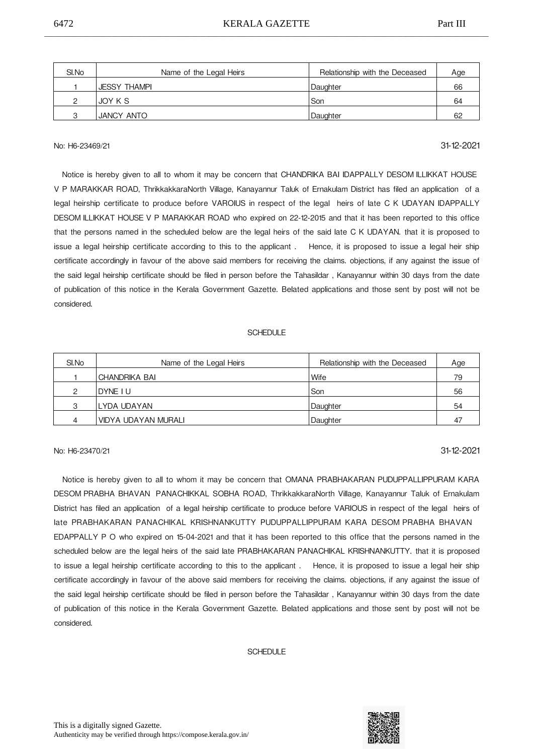| SI.No | Name of the Legal Heirs | Relationship with the Deceased | Age |
|-------|-------------------------|--------------------------------|-----|
|       | 'JESSY THAMPI           | Daughter                       | 66  |
|       | JOY K S                 | Son                            | 64  |
|       | JANCY ANTO              | Daughter                       | 62  |

## No: H6-23469/21 31-12-2021

Notice is hereby given to all to whom it may be concern that CHANDRIKA BAI IDAPPALLY DESOM ILLIKKAT HOUSE V P MARAKKAR ROAD, ThrikkakkaraNorth Village, Kanayannur Taluk of Ernakulam District has filed an application of a legal heirship certificate to produce before VAROIUS in respect of the legal heirs of late C K UDAYAN IDAPPALLY DESOM
ILLIKKAT HOUSE
V P MARAKKAR ROAD who expired on 22-12-2015 and that it has been reported to this office that the persons named in the scheduled below are the legal heirs of the said late C K UDAYAN. that it is proposed to issue a legal heirship certificate according to this to the applicant. Hence, it is proposed to issue a legal heir ship certificate accordingly in favour of the above said members for receiving the claims. objections, if any against the issue of the said legal heirship certificate should be filed in person before the Tahasildar , Kanayannur within 30 days from the date of publication of this notice in the Kerala Government Gazette. Belated applications and those sent by post will not be considered.

#### **SCHEDULE**

| SI.No | Name of the Legal Heirs    | Relationship with the Deceased | Age |
|-------|----------------------------|--------------------------------|-----|
|       | ICHANDRIKA BAI             | 'Wife                          | 79  |
| ◠     | <b>IDYNE I U</b>           | Son                            | 56  |
| 3     | ILYDA UDAYAN               | Daughter                       | 54  |
| Δ     | <b>VIDYA UDAYAN MURALI</b> | Daughter                       | 47  |

## No: H6-23470/21 31-12-2021

 Notice is hereby given to all to whom it may be concern that OMANA PRABHAKARAN PUDUPPALLIPPURAM KARA DESOM PRABHA BHAVAN PANACHIKKAL SOBHA ROAD, ThrikkakkaraNorth Village, Kanayannur Taluk of Ernakulam District has filed an application of a legal heirship certificate to produce before VARIOUS in respect of the legal heirs of late PRABHAKARAN PANACHIKAL KRISHNANKUTTY PUDUPPALLIPPURAM KARA DESOM
PRABHA BHAVAN EDAPPALLY P O who expired on 15-04-2021 and that it has been reported to this office that the persons named in the scheduled below are the legal heirs of the said late PRABHAKARAN PANACHIKAL KRISHNANKUTTY. that it is proposed to issue a legal heirship certificate according to this to the applicant . 

 Hence, it is proposed to issue a legal heir ship certificate accordingly in favour of the above said members for receiving the claims. objections, if any against the issue of the said legal heirship certificate should be filed in person before the Tahasildar , Kanayannur within 30 days from the date of publication of this notice in the Kerala Government Gazette. Belated applications and those sent by post will not be considered.

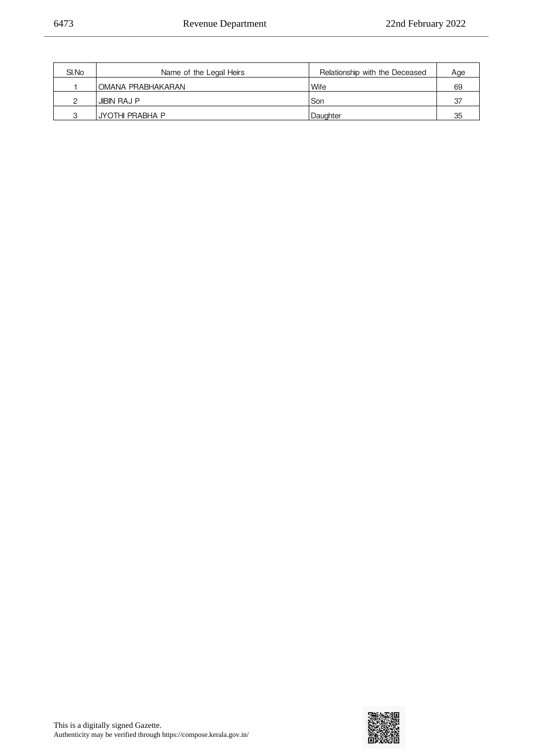| SI.No | Name of the Legal Heirs | Relationship with the Deceased | Age |
|-------|-------------------------|--------------------------------|-----|
|       | OMANA PRABHAKARAN       | Wife                           | 69  |
|       | JIBIN RAJ P             | Son                            | 27  |
| ◠     | <b>JYOTHI PRABHA P</b>  | Daughter                       | 35  |

\_\_\_\_\_\_\_\_\_\_\_\_\_\_\_\_\_\_\_\_\_\_\_\_\_\_\_\_\_\_\_\_\_\_\_\_\_\_\_\_\_\_\_\_\_\_\_\_\_\_\_\_\_\_\_\_\_\_\_\_\_\_\_\_\_\_\_\_\_\_\_\_\_\_\_\_\_\_\_\_\_\_\_\_\_\_\_\_\_\_\_\_\_\_\_\_\_\_\_\_\_\_\_\_\_\_\_\_\_\_\_\_\_\_\_\_\_\_\_\_\_\_\_\_

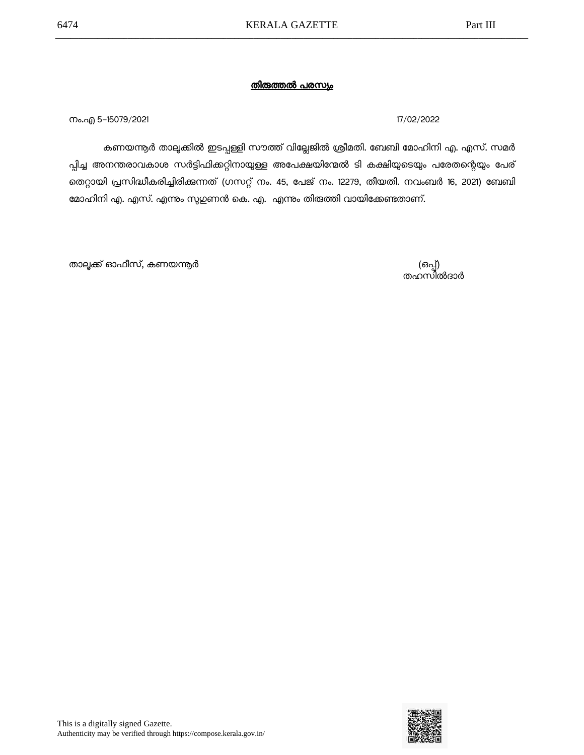നം.എ 5-15079/2021 17/02/2022

കണയന്തർ താലൂക്കിൽ ഇടപ്പള്ളി സൗത്ത് വില്ലേജിൽ ശ്രീമതി. ബേബി മോഹിനി എ. എസ്. സമർ പ്പിച്ച അനന്തരാവകാശ സര്ട്ടിഫിക്കറ്റിനായുള്ള അപേക്ഷയിന്മേല് ടി കക്ഷിയുടെയും പരേതന്റെയും പേര് തെറ്റായി പ്രസിദ്ധീകരിച്ചിരിക്കുന്നത് (ഗസറ്റ് നം. 45, പേജ് നം. 12279, തീയതി. നവംബർ 16, 2021) ബേബി മാഹിനി എ. എസ്. എന്നും സുഗുണന് കെ. എ. എന്നും തിരുത്തി വായിക്കേണ്ടതാണ്.

(ഒപ്പ്)<br>തഹസിൽദാർ

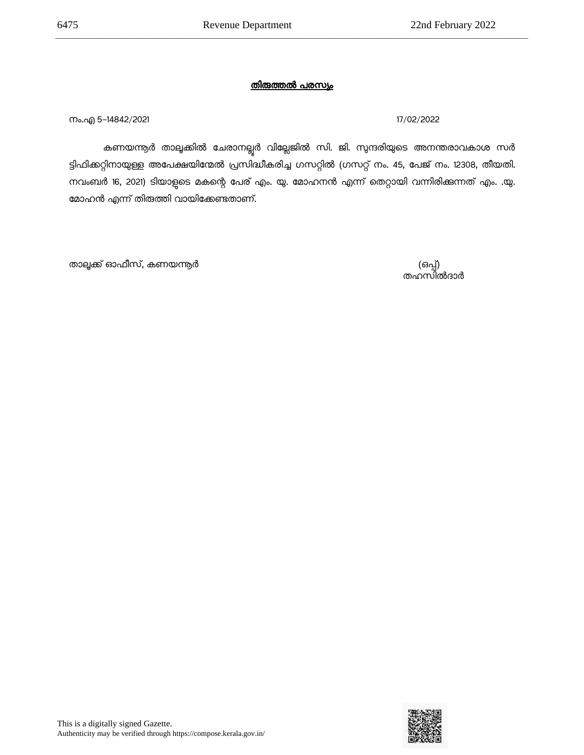നം.എ 5-14842/2021 17/02/2022

കണയന്തർ താലൂക്കിൽ ചേരാനല്ലൂർ വില്ലേജിൽ സി. ജി. സുന്ദരിയുടെ അനന്തരാവകാശ സർ ട്ടിഫിക്കറ്റിനായുള്ള അപേക്ഷയിന്മേല് പ്രസിദ്ധീകരിച്ച ഗസറ്റില് (ഗസറ്റ് നം. 45, പേജ് നം. 12308, തീയതി. നവംബർ 16, 2021) ടിയാളുടെ മകന്റെ പേര് എം. യു. മോഹനൻ എന്ന് തെറ്റായി വന്നിരിക്കുന്നത് എം. .യു. മാഹന് എന്ന് തിരുത്തി വായിക്കേണ്ടതാണ്.

(ഒപ്പ്)<br>തഹസിൽദാർ

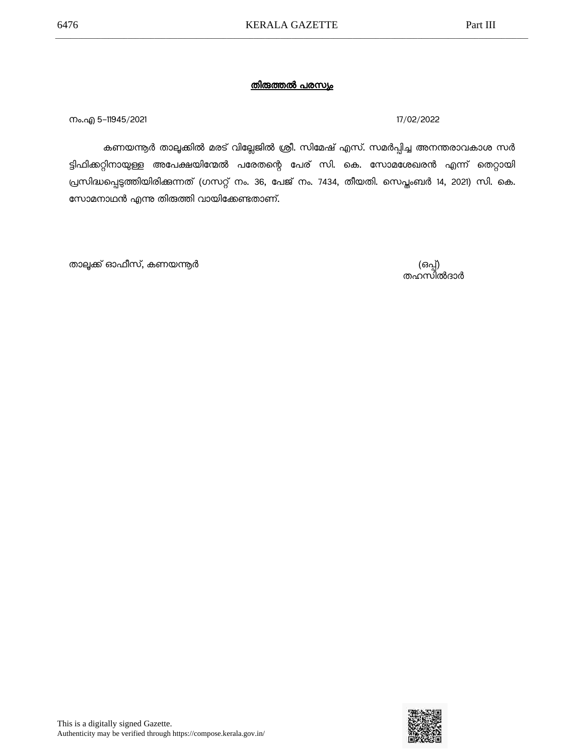നം.എ 5–11945/2021 **17/02/2022** 

കണയന്നൂര് താലൂക്കില് മരട് വില്ലേജില് ശ്രീ. സിമേഷ് എസ്. സമര്പ്പിച്ച അനന്തരാവകാശ സര് ട്ടിഫിക്കറ്റിനായുള്ള അപേക്ഷയിന്മേല് പരേതന്റെ പേര് സി. കെ. സാമശേഖരന് എന്ന് തെറ്റായി പ്രസിദ്ധപ്പെടുത്തിയിരിക്കുന്നത് (ഗസറ്റ് നം. 36, പേജ് നം. 7434, തീയതി. സെപ്തംബര് 14, 2021) സി. കെ. സാമനാഥന് എന്നു തിരുത്തി വായിക്കേണ്ടതാണ്.

(ഒപ്പ്)<br>തഹസിൽദാർ

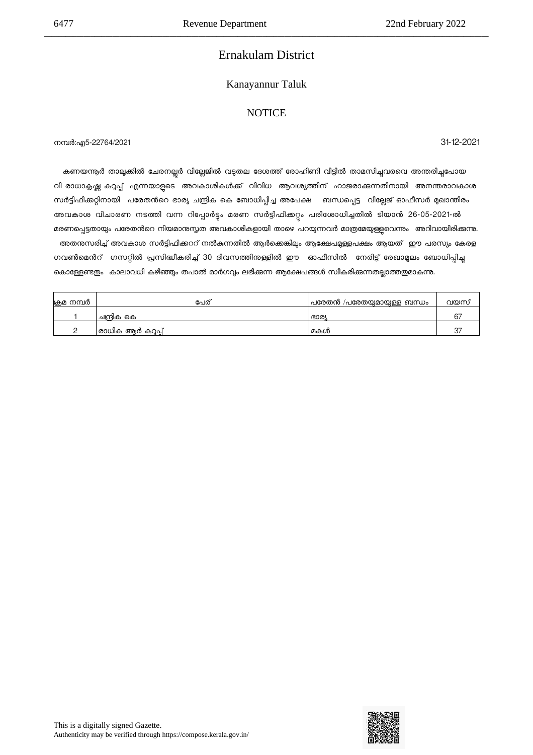## Ernakulam District

\_\_\_\_\_\_\_\_\_\_\_\_\_\_\_\_\_\_\_\_\_\_\_\_\_\_\_\_\_\_\_\_\_\_\_\_\_\_\_\_\_\_\_\_\_\_\_\_\_\_\_\_\_\_\_\_\_\_\_\_\_\_\_\_\_\_\_\_\_\_\_\_\_\_\_\_\_\_\_\_\_\_\_\_\_\_\_\_\_\_\_\_\_\_\_\_\_\_\_\_\_\_\_\_\_\_\_\_\_\_\_\_\_\_\_\_\_\_\_\_\_\_\_\_

### Kanayannur Taluk

### **NOTICE**

നമര:എ5-22764/2021 31-12-2021

കണയന്ത്യർ താലൂക്കിൽ ചേരനല്ലർ വില്ലേജിൽ വടുതല ദേശത്ത് രോഹിണി വീട്ടിൽ താമസിച്ചുവരവെ അന്തരിച്ചപോയ വി രാധാകൃഷ്ണ കുറ്റപ്പ് എന്നയാളടെ അവകാശികൾക്ക് വിവിധ ആവശ്യത്തിന് ഹാജരാക്കുന്നതിനായി അനന്തരാവകാശ സർട്ടിഫിക്കറ്റിനായി പരേതൻറെ ഭാര്യ ചന്ദ്രിക കെ ബോധിപ്പിച്ച അപേക്ഷ ബന്ധപ്പെട്ട വില്ലേജ് ഓഫീസർ മുഖാന്തിരം അവകാശ വിചാരണ നടത്തി വന്ന റിപ്പോർട്ടം മരണ സർട്ടിഫിക്കറ്റം പരിശോധിച്ചതിൽ ടിയാൻ 26-05-2021-ൽ മരണപ്പെട്ടതായും പരേതൻറെ നിയമാനുസ്തത അവകാശികളായി താഴെ പറയുന്നവർ മാത്രമേയുള്ളവെന്നും അറിവായിരിക്കുന്നു. അതന്സരിച്ച് അവകാശ സർട്ടിഫിക്കററ് നൽകന്നതിൽ ആർക്കെങ്കിലും ആക്ഷേപമുള്ളപക്ഷം ആയത് ഈ പരസ്യം കേരള ഗവൺമെൻറ് ഗസറ്റിൽ പ്രസിദ്ധീകരിച്ച് 30 ദിവസത്തിനുള്ളിൽ ഈ ഓഫീസിൽ നേരിട്ട് രേഖാമൂലം ബോധിപ്പിച്ച കൊള്ളേണ്ടതം കാലാവധി കഴിഞ്ഞും തപാൽ മാർഗവും ലഭിക്കുന്ന ആക്ഷേപങ്ങൾ സ്വീകരിക്കുന്നതല്ലാത്തതമാകന്നു.

| ക്രമ നമ്പർ | പേര്               | പരേതൻ /പരേതയുമായുള്ള ബന്ധം | വയസ് |
|------------|--------------------|----------------------------|------|
|            | ചന്ദ്രിക കെ        | ്രാര്യ                     | h    |
|            | രാധിക ആർ കുറ്റപ്പ് | മകൾ                        |      |

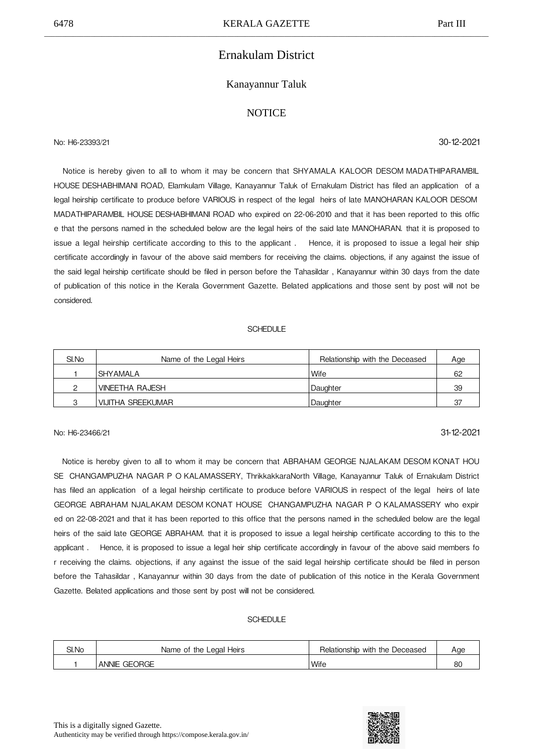## Ernakulam District

### Kanayannur Taluk

### **NOTICE**

No: H6-23393/21 30-12-2021

 Notice is hereby given to all to whom it may be concern that SHYAMALA KALOOR DESOM
MADATHIPARAMBIL HOUSE
DESHABHIMANI ROAD, Elamkulam Village, Kanayannur Taluk of Ernakulam District has filed an application of a legal heirship certificate to produce before VARIOUS in respect of the legal heirs of late MANOHARAN KALOOR DESOM MADATHIPARAMBIL HOUSE
DESHABHIMANI ROAD who expired on 22-06-2010 and that it has been reported to this offic e that the persons named in the scheduled below are the legal heirs of the said late MANOHARAN. that it is proposed to issue a legal heirship certificate according to this to the applicant . Hence, it is proposed to issue a legal heir ship certificate accordingly in favour of the above said members for receiving the claims. objections, if any against the issue of the said legal heirship certificate should be filed in person before the Tahasildar , Kanayannur within 30 days from the date of publication of this notice in the Kerala Government Gazette. Belated applications and those sent by post will not be considered.

#### SCHEDULE

| SI.No | Name of the Legal Heirs | Relationship with the Deceased | Age |
|-------|-------------------------|--------------------------------|-----|
|       | I SHY AMAL A            | Wife                           | 62  |
|       | <b>VINEETHA RAJESH</b>  | Daughter                       | 39  |
| ◠     | VIJITHA SREEKUMAR       | Daughter                       | 37  |

## No: H6-23466/21 31-12-2021

 Notice is hereby given to all to whom it may be concern that ABRAHAM GEORGE NJALAKAM DESOM
KONAT HOU SE CHANGAMPUZHA NAGAR P O KALAMASSERY, ThrikkakkaraNorth Village, Kanayannur Taluk of Ernakulam District has filed an application of a legal heirship certificate to produce before VARIOUS in respect of the legal heirs of late GEORGE ABRAHAM NJALAKAM DESOM KONAT HOUSE CHANGAMPUZHA NAGAR P O KALAMASSERY who expir ed on 22-08-2021 and that it has been reported to this office that the persons named in the scheduled below are the legal heirs of the said late GEORGE ABRAHAM. that it is proposed to issue a legal heirship certificate according to this to the applicant . 

 Hence, it is proposed to issue a legal heir ship certificate accordingly in favour of the above said members fo r receiving the claims. objections, if any against the issue of the said legal heirship certificate should be filed in person before the Tahasildar , Kanayannur within 30 days from the date of publication of this notice in the Kerala Government Gazette. Belated applications and those sent by post will not be considered.

| SI.No | the Legal<br>Heirs<br>Name of | Relationship with the D<br>Deceased | Aae            |
|-------|-------------------------------|-------------------------------------|----------------|
|       | ORGE<br>ANNIE<br>GE(          | 'Wife                               | $\alpha$<br>ou |

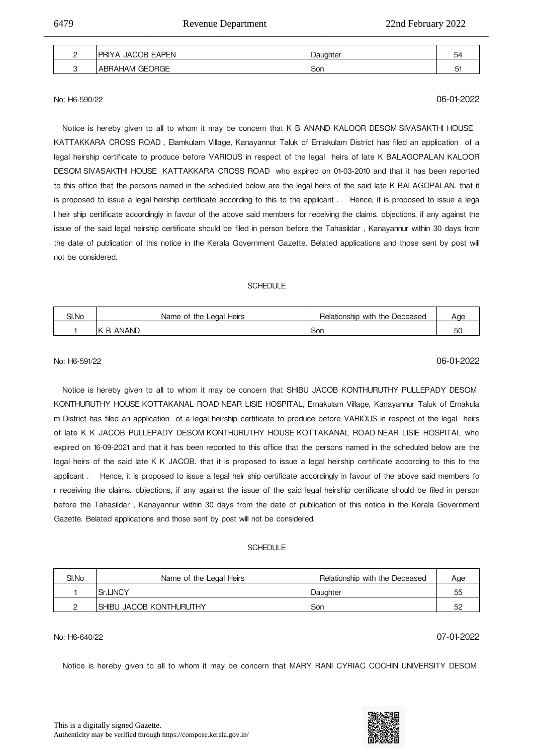| <b>JACOB EAPEN</b><br><b>PRIYA</b> | , Daughter | 54 |
|------------------------------------|------------|----|
| ABRAHAM GEORGE                     | Son        |    |

\_\_\_\_\_\_\_\_\_\_\_\_\_\_\_\_\_\_\_\_\_\_\_\_\_\_\_\_\_\_\_\_\_\_\_\_\_\_\_\_\_\_\_\_\_\_\_\_\_\_\_\_\_\_\_\_\_\_\_\_\_\_\_\_\_\_\_\_\_\_\_\_\_\_\_\_\_\_\_\_\_\_\_\_\_\_\_\_\_\_\_\_\_\_\_\_\_\_\_\_\_\_\_\_\_\_\_\_\_\_\_\_\_\_\_\_\_\_\_\_\_\_\_\_

No: H6-590/22 06-01-2022

 Notice is hereby given to all to whom it may be concern that K B ANAND KALOOR DESOM
SIVASAKTHI HOUSE KATTAKKARA CROSS ROAD, Elamkulam Village, Kanayannur Taluk of Ernakulam District has filed an application of a legal heirship certificate to produce before VARIOUS in respect of the legal heirs of late K BALAGOPALAN KALOOR DESOM
SIVASAKTHI HOUSE 
KATTAKKARA CROSS ROAD
 who expired on 01-03-2010 and that it has been reported to this office that the persons named in the scheduled below are the legal heirs of the said late K BALAGOPALAN. that it is proposed to issue a legal heirship certificate according to this to the applicant. Hence, it is proposed to issue a lega l heir ship certificate accordingly in favour of the above said members for receiving the claims. objections, if any against the issue of the said legal heirship certificate should be filed in person before the Tahasildar , Kanayannur within 30 days from the date of publication of this notice in the Kerala Government Gazette. Belated applications and those sent by post will not be considered.

### SCHEDULE

| SI.No | Heirs<br>Name of the Legal I       | Relationship with the Deceased | Aae      |
|-------|------------------------------------|--------------------------------|----------|
|       | ANAND<br>$\mathcal{L}$<br><b>B</b> | Son                            | F(<br>JU |

## No: H6-591/22 06-01-2022

 Notice is hereby given to all to whom it may be concern that SHIBU JACOB KONTHURUTHY PULLEPADY DESOM KONTHURUTHY HOUSE KOTTAKANAL ROAD NEAR LISIE HOSPITAL, Ernakulam Village, Kanayannur Taluk of Ernakula m District has filed an application of a legal heirship certificate to produce before VARIOUS in respect of the legal heirs of late K K JACOB PULLEPADY DESOM KONTHURUTHY HOUSE KOTTAKANAL ROAD NEAR LISIE HOSPITAL who expired on 16-09-2021 and that it has been reported to this office that the persons named in the scheduled below are the legal heirs of the said late K K JACOB. that it is proposed to issue a legal heirship certificate according to this to the applicant . 

 Hence, it is proposed to issue a legal heir ship certificate accordingly in favour of the above said members fo r receiving the claims. objections, if any against the issue of the said legal heirship certificate should be filed in person before the Tahasildar , Kanayannur within 30 days from the date of publication of this notice in the Kerala Government Gazette. Belated applications and those sent by post will not be considered.

#### SCHEDULE

| SI.No | Name of the Legal Heirs  | Relationship with the Deceased | Age |
|-------|--------------------------|--------------------------------|-----|
|       | <b>Sr.LINCY</b>          | Daughter                       | 55  |
|       | ISHIBU JACOB KONTHURUTHY | Son                            | 52  |

## No: H6-640/22 07-01-2022

Notice is hereby given to all to whom it may be concern that MARY RANI CYRIAC COCHIN UNIVERSITY DESOM

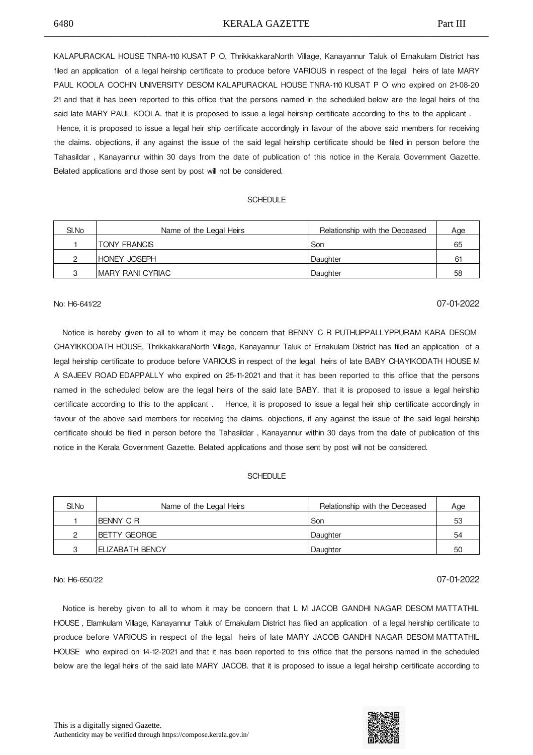KALAPURACKAL HOUSE TNRA-110 KUSAT P O, ThrikkakkaraNorth Village, Kanayannur Taluk of Ernakulam District has filed an application of a legal heirship certificate to produce before VARIOUS in respect of the legal heirs of late MARY PAUL KOOLA COCHIN UNIVERSITY DESOM KALAPURACKAL HOUSE TNRA-110 KUSAT P O who expired on 21-08-20 21 and that it has been reported to this office that the persons named in the scheduled below are the legal heirs of the said late MARY PAUL KOOLA. that it is proposed to issue a legal heirship certificate according to this to the applicant . Hence, it is proposed to issue a legal heir ship certificate accordingly in favour of the above said members for receiving

the claims. objections, if any against the issue of the said legal heirship certificate should be filed in person before the Tahasildar , Kanayannur within 30 days from the date of publication of this notice in the Kerala Government Gazette. Belated applications and those sent by post will not be considered.

#### SCHEDULE

| SI.No | Name of the Legal Heirs | Relationship with the Deceased | Age |
|-------|-------------------------|--------------------------------|-----|
|       | TONY FRANCIS            | Son                            | 65  |
|       | <b>IHONEY JOSEPH</b>    | Daughter                       | -61 |
|       | IMARY RANI CYRIAC       | Daughter                       | 58  |

## No: H6-641/22 07-01-2022

 Notice is hereby given to all to whom it may be concern that BENNY C R PUTHUPPALLYPPURAM KARA DESOM CHAYIKKODATH HOUSE, ThrikkakkaraNorth Village, Kanayannur Taluk of Ernakulam District has filed an application of a legal heirship certificate to produce before VARIOUS in respect of the legal heirs of late BABY CHAYIKODATH HOUSE
M A SAJEEV ROAD
EDAPPALLY who expired on 25-11-2021 and that it has been reported to this office that the persons named in the scheduled below are the legal heirs of the said late BABY. that it is proposed to issue a legal heirship certificate according to this to the applicant . Hence, it is proposed to issue a legal heir ship certificate accordingly in favour of the above said members for receiving the claims. objections, if any against the issue of the said legal heirship certificate should be filed in person before the Tahasildar , Kanayannur within 30 days from the date of publication of this notice in the Kerala Government Gazette. Belated applications and those sent by post will not be considered.

#### **SCHEDULE**

| SI.No | Name of the Legal Heirs | Relationship with the Deceased | Age |
|-------|-------------------------|--------------------------------|-----|
|       | IBENNY C R              | l Son                          | 53  |
|       | IBETTY GEORGE           | Daughter                       | 54  |
|       | I ELIZABATH BENCY       | Daughter                       | 50  |

## No: H6-650/22 07-01-2022

Notice is hereby given to all to whom it may be concern that L M JACOB GANDHI NAGAR DESOM MATTATHIL HOUSE
, Elamkulam Village, Kanayannur Taluk of Ernakulam District has filed an application of a legal heirship certificate to produce before VARIOUS in respect of the legal heirs of late MARY JACOB GANDHI NAGAR DESOM MATTATHIL HOUSE
 who expired on 14-12-2021 and that it has been reported to this office that the persons named in the scheduled below are the legal heirs of the said late MARY JACOB. that it is proposed to issue a legal heirship certificate according to

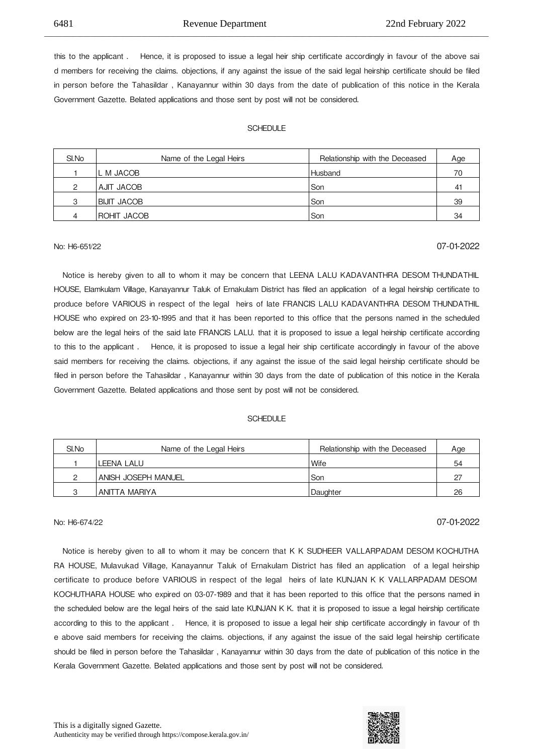this to the applicant . Hence, it is proposed to issue a legal heir ship certificate accordingly in favour of the above sai d members for receiving the claims. objections, if any against the issue of the said legal heirship certificate should be filed in person before the Tahasildar , Kanayannur within 30 days from the date of publication of this notice in the Kerala Government Gazette. Belated applications and those sent by post will not be considered.

\_\_\_\_\_\_\_\_\_\_\_\_\_\_\_\_\_\_\_\_\_\_\_\_\_\_\_\_\_\_\_\_\_\_\_\_\_\_\_\_\_\_\_\_\_\_\_\_\_\_\_\_\_\_\_\_\_\_\_\_\_\_\_\_\_\_\_\_\_\_\_\_\_\_\_\_\_\_\_\_\_\_\_\_\_\_\_\_\_\_\_\_\_\_\_\_\_\_\_\_\_\_\_\_\_\_\_\_\_\_\_\_\_\_\_\_\_\_\_\_\_\_\_\_

#### **SCHEDULE**

| SI.No | Name of the Legal Heirs | Relationship with the Deceased | Age |
|-------|-------------------------|--------------------------------|-----|
|       | L M JACOB               | <b>Husband</b>                 | 70  |
| ◠     | AJIT JACOB              | Son                            | 41  |
| 3     | <b>BIJIT JACOB</b>      | Son                            | 39  |
|       | ROHIT JACOB             | Son                            | 34  |

## No: H6-651/22 07-01-2022

Notice is hereby given to all to whom it may be concern that LEENA LALU KADAVANTHRA DESOM THUNDATHIL HOUSE, Elamkulam Village, Kanayannur Taluk of Ernakulam District has filed an application of a legal heirship certificate to produce before VARIOUS in respect of the legal heirs of late FRANCIS LALU KADAVANTHRA DESOM THUNDATHIL HOUSE who expired on 23-10-1995 and that it has been reported to this office that the persons named in the scheduled below are the legal heirs of the said late FRANCIS LALU. that it is proposed to issue a legal heirship certificate according to this to the applicant . Hence, it is proposed to issue a legal heir ship certificate accordingly in favour of the above said members for receiving the claims. objections, if any against the issue of the said legal heirship certificate should be filed in person before the Tahasildar , Kanayannur within 30 days from the date of publication of this notice in the Kerala Government Gazette. Belated applications and those sent by post will not be considered.

### **SCHEDULE**

| SI.No | Name of the Legal Heirs | Relationship with the Deceased | Age |
|-------|-------------------------|--------------------------------|-----|
|       | LEENA LALU              | Wife                           | 54  |
| ∩     | ANISH JOSEPH MANUEL     | Son                            | -27 |
| ◠     | ANITTA MARIYA           | Daughter                       | 26  |

## No: H6-674/22 07-01-2022

Notice is hereby given to all to whom it may be concern that K K SUDHEER VALLARPADAM DESOM KOCHUTHA RA HOUSE, Mulavukad Village, Kanayannur Taluk of Ernakulam District has filed an application of a legal heirship certificate to produce before VARIOUS in respect of the legal heirs of late KUNJAN K K VALLARPADAM DESOM KOCHUTHARA HOUSE who expired on 03-07-1989 and that it has been reported to this office that the persons named in the scheduled below are the legal heirs of the said late KUNJAN K K. that it is proposed to issue a legal heirship certificate according to this to the applicant . 

 Hence, it is proposed to issue a legal heir ship certificate accordingly in favour of th e above said members for receiving the claims. objections, if any against the issue of the said legal heirship certificate should be filed in person before the Tahasildar , Kanayannur within 30 days from the date of publication of this notice in the Kerala Government Gazette. Belated applications and those sent by post will not be considered.

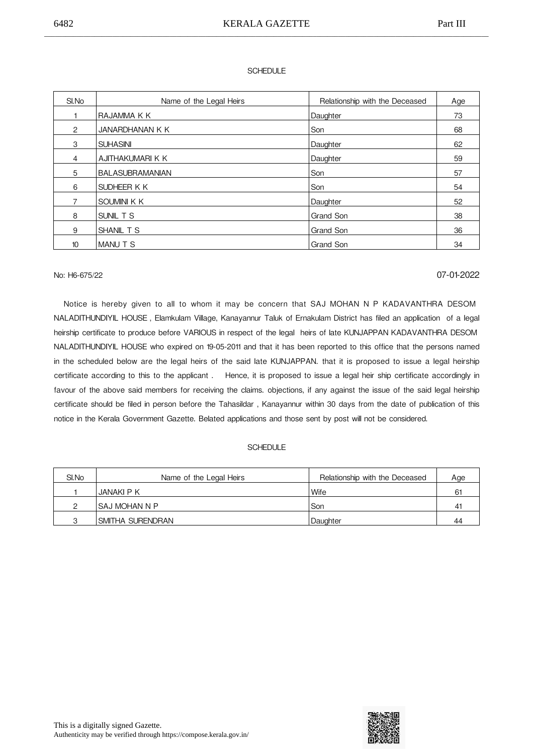### **SCHEDULE**

| SI.No          | Name of the Legal Heirs | Relationship with the Deceased | Age |
|----------------|-------------------------|--------------------------------|-----|
|                | IRAJAMMA K K            | Daughter                       | 73  |
| $\overline{2}$ | <b>JANARDHANAN K K</b>  | Son                            | 68  |
| 3              | <b>SUHASINI</b>         | Daughter                       | 62  |
| 4              | AJITHAKUMARI K K        | Daughter                       | 59  |
| 5              | <b>BALASUBRAMANIAN</b>  | Son                            | 57  |
| 6              | SUDHEER K K             | Son                            | 54  |
| $\overline{7}$ | ISOUMINI K K            | Daughter                       | 52  |
| 8              | SUNIL T S               | <b>Grand Son</b>               | 38  |
| 9              | SHANIL T S              | Grand Son                      | 36  |
| 10             | IMANU T S               | Grand Son                      | 34  |

## No: H6-675/22 07-01-2022

 Notice is hereby given to all to whom it may be concern that SAJ MOHAN N P KADAVANTHRA DESOM NALADITHUNDIYIL HOUSE, Elamkulam Village, Kanayannur Taluk of Ernakulam District has filed an application of a legal heirship certificate to produce before VARIOUS in respect of the legal heirs of late KUNJAPPAN KADAVANTHRA DESOM NALADITHUNDIYIL HOUSE who expired on 19-05-2011 and that it has been reported to this office that the persons named in the scheduled below are the legal heirs of the said late KUNJAPPAN. that it is proposed to issue a legal heirship certificate according to this to the applicant . 

 Hence, it is proposed to issue a legal heir ship certificate accordingly in favour of the above said members for receiving the claims. objections, if any against the issue of the said legal heirship certificate should be filed in person before the Tahasildar , Kanayannur within 30 days from the date of publication of this notice in the Kerala Government Gazette. Belated applications and those sent by post will not be considered.

| SI.No | Name of the Legal Heirs | Relationship with the Deceased | Age          |
|-------|-------------------------|--------------------------------|--------------|
|       | JANAKI P K              | Wife                           | 61           |
|       | ISAJ MOHAN N P          | Son                            | $4^{\prime}$ |
| ◠     | ISMITHA SURENDRAN       | Daughter                       | 44           |

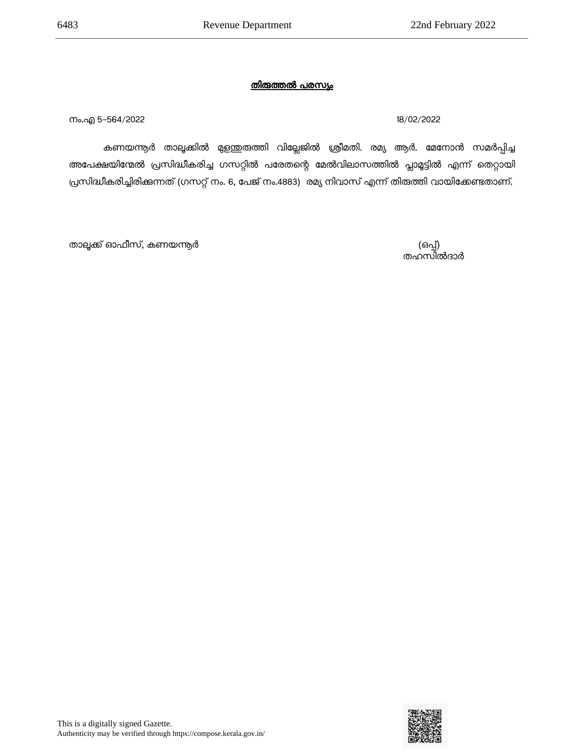\_\_\_\_\_\_\_\_\_\_\_\_\_\_\_\_\_\_\_\_\_\_\_\_\_\_\_\_\_\_\_\_\_\_\_\_\_\_\_\_\_\_\_\_\_\_\_\_\_\_\_\_\_\_\_\_\_\_\_\_\_\_\_\_\_\_\_\_\_\_\_\_\_\_\_\_\_\_\_\_\_\_\_\_\_\_\_\_\_\_\_\_\_\_\_\_\_\_\_\_\_\_\_\_\_\_\_\_\_\_\_\_\_\_\_\_\_\_\_\_\_\_\_\_

നം.എ 5-564/2022 18/02/2022

കണയന്നൂര് താലൂക്കില് മുളന്തുരുത്തി വില്ലേജില് ശ്രീമതി. രമ്യ ആര്. മേനാന് സമര്പ്പിച്ച അപേക്ഷയിന്മേൽ പ്രസിദ്ധീകരിച്ച ഗസറ്റിൽ പരേതന്റെ മേൽവിലാസത്തിൽ പ്ലാമൂട്ടിൽ എന്ന് തെറ്റായി പ്രസിദ്ധീകരിച്ചിരിക്കുന്നത് (ഗസറ്റ് നം. 6, പേജ് നം.4883) രമ്യ നിവാസ് എന്ന് തിരുത്തി വായിക്കേണ്ടതാണ്.

(ഒപ്പ്)<br>തഹസിൽദാർ

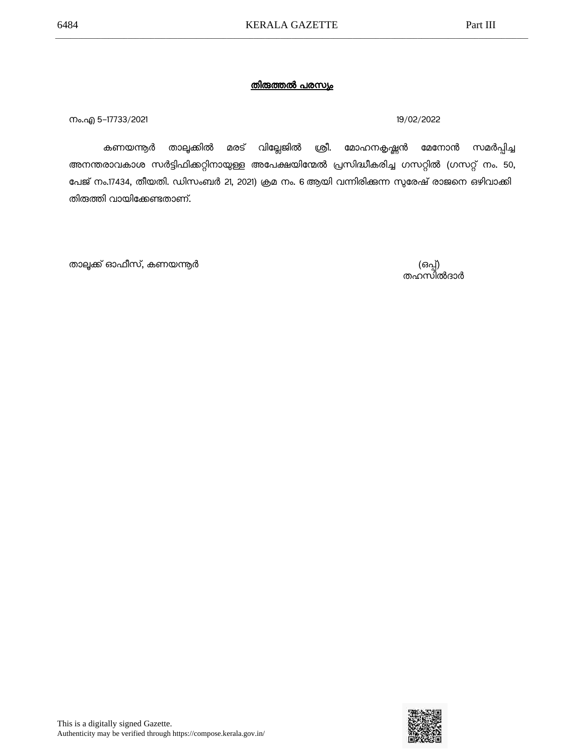നം.എ 5–17733/2021 19/02/2022 **19/02/2022** 

കണയന്നൂര് താലൂക്കില് മരട് വില്ലേജില് ശ്രീ. മാഹനകൃഷ്ണന് മേനാന് സമര്പ്പിച്ച അനന്തരാവകാശ സര്ട്ടിഫിക്കറ്റിനായുള്ള അപേക്ഷയിന്മേല് പ്രസിദ്ധീകരിച്ച ഗസറ്റില് (ഗസറ്റ് നം. 50, പേജ് നം.17434, തീയതി. ഡിസംബര് 21, 2021) ക്രമ നം. 6ആയി വന്നിരിക്കുന്ന സുരേഷ് രാജനെ ഒഴിവാക്കി തിരുത്തി വായിക്കേണ്ടതാണ്.

(ഒപ്പ്)<br>തഹസിൽദാർ

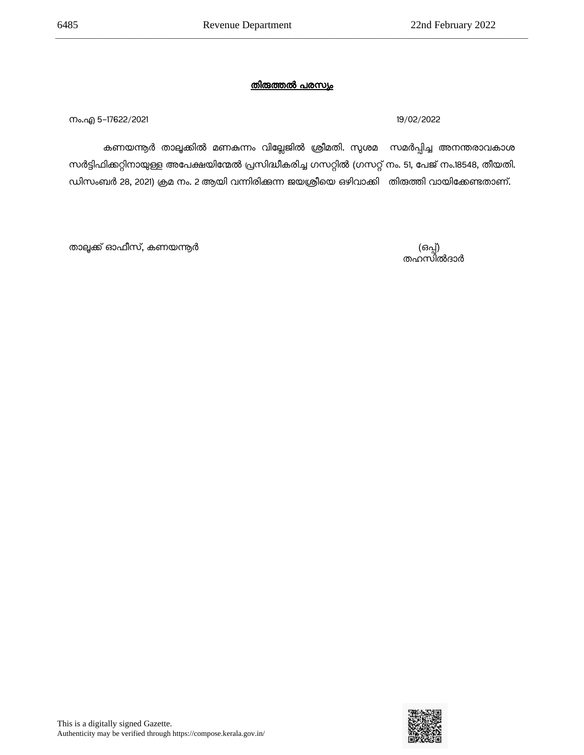നം.എ 5-17622/2021 19/02/2022

കണയന്നൂര് താലൂക്കില് മണകുന്നം വില്ലേജില് ശ്രീമതി. സുശമ സമര്പ്പിച്ച അനന്തരാവകാശ സര്ട്ടിഫിക്കറ്റിനായുള്ള അപേക്ഷയിന്മേല് പ്രസിദ്ധീകരിച്ച ഗസറ്റില് (ഗസറ്റ് നം. 51, പേജ് നം.18548, തീയതി. ഡിസംബര് 28, 2021) ക്രമ നം. 2ആയി വന്നിരിക്കുന്ന ജയശ്രീയെ ഒഴിവാക്കി തിരുത്തി വായിക്കേണ്ടതാണ്.

താലൂക്ക് ഓഫീസ്, കണയന്ത്യർ

(ഒപ്പ്)<br>തഹസിൽദാർ

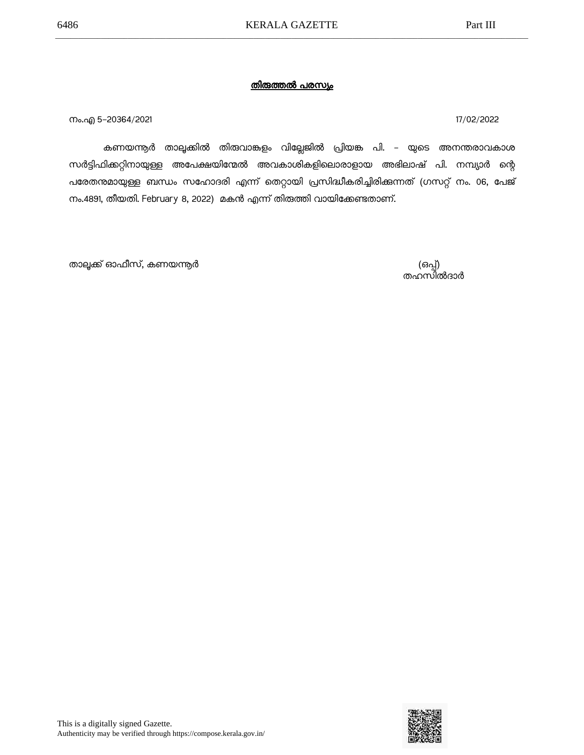നം.എ 5–20364/2021 സം.എ സ്വസ്ത സ്വസ്ത സ്വസ്ത സ്വസ്ത സ്വസ്ത സ്വസ്ത സ്വസ്ത സ്വസ്ത സ്വസ്ത സ്വസ്ത സ്വസ്ത സ്വസ്ത സ്വ

കണയന്തർ താലൂക്കിൽ തിരുവാങ്കളം വില്ലേജിൽ പ്രിയങ്ക പി. – യുടെ അനന്തരാവകാശ സർട്ടിഫിക്കറ്റിനായുള്ള അപേക്ഷയിന്മേൽ അവകാശികളിലൊരാളായ അഭിലാഷ് പി. നമ്പ്യാർ ന്റെ പരേതന്മമായുള്ള ബന്ധം സഹോദരി എന്ന് തെറ്റായി പ്രസിദ്ധീകരിച്ചിരിക്കുന്നത് (ഗസറ്റ് നം. 06, പേജ് നം.4891, തീയതി. February 8, 2022) മകന് എന്ന് തിരുത്തി വായിക്കേണ്ടതാണ്.

താലൂക്ക് ഓഫീസ്, കണയന്ത്യർ (ഒപ്പ്) എന്നാണ് (ഒപ്പ്) എന്നാണ് (ഒപ്പ്)

തഹസിൽദാർ

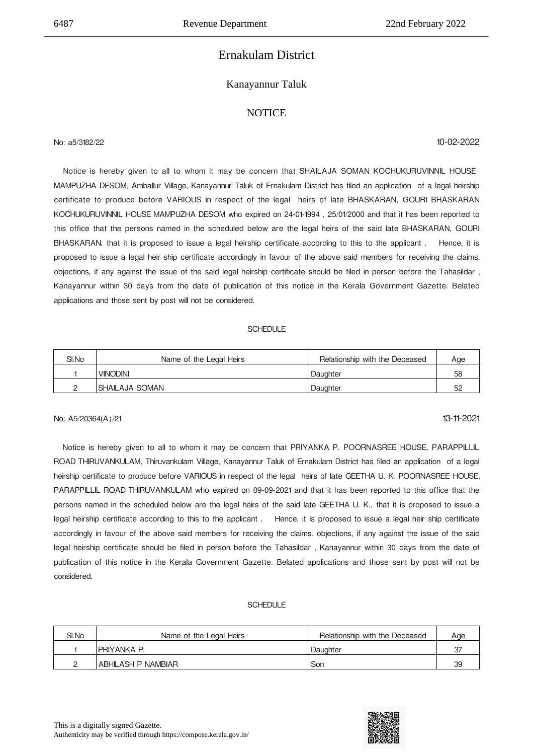## Ernakulam District

\_\_\_\_\_\_\_\_\_\_\_\_\_\_\_\_\_\_\_\_\_\_\_\_\_\_\_\_\_\_\_\_\_\_\_\_\_\_\_\_\_\_\_\_\_\_\_\_\_\_\_\_\_\_\_\_\_\_\_\_\_\_\_\_\_\_\_\_\_\_\_\_\_\_\_\_\_\_\_\_\_\_\_\_\_\_\_\_\_\_\_\_\_\_\_\_\_\_\_\_\_\_\_\_\_\_\_\_\_\_\_\_\_\_\_\_\_\_\_\_\_\_\_\_

### Kanayannur Taluk

### **NOTICE**

No: a5/3182/22 10-02-2022

 Notice is hereby given to all to whom it may be concern that SHAILAJA SOMAN KOCHUKURUVINNIL HOUSE MAMPUZHA DESOM, Amballur Village, Kanayannur Taluk of Ernakulam District has filed an application of a legal heirship certificate to produce before VARIOUS in respect of the legal heirs of late BHASKARAN, GOURI BHASKARAN KOCHUKURUVINNIL HOUSE
MAMPUZHA DESOM who expired on 24-01-1994 , 25/01/2000 and that it has been reported to this office that the persons named in the scheduled below are the legal heirs of the said late BHASKARAN, GOURI BHASKARAN. that it is proposed to issue a legal heirship certificate according to this to the applicant. Hence, it is proposed to issue a legal heir ship certificate accordingly in favour of the above said members for receiving the claims. objections, if any against the issue of the said legal heirship certificate should be filed in person before the Tahasildar , Kanayannur within 30 days from the date of publication of this notice in the Kerala Government Gazette. Belated applications and those sent by post will not be considered.

#### SCHEDULE

| SI.No | Name of the Legal Heirs | Relationship with the Deceased | Age |
|-------|-------------------------|--------------------------------|-----|
|       | VINODINI                | Daughter                       | 58  |
|       | ISHAILAJA SOMAN         | Daughter                       | 52  |

#### No: A5/20364(A)/21 13-11-2021

 Notice is hereby given to all to whom it may be concern that PRIYANKA P. POORNASREE HOUSE, PARAPPILLIL ROAD
THIRUVANKULAM, Thiruvankulam Village, Kanayannur Taluk of Ernakulam District has filed an application of a legal heirship certificate to produce before VARIOUS in respect of the legal heirs of late GEETHA U. K. POORNASREE HOUSE, PARAPPILLIL ROAD THIRUVANKULAM who expired on 09-09-2021 and that it has been reported to this office that the persons named in the scheduled below are the legal heirs of the said late GEETHA U. K.. that it is proposed to issue a legal heirship certificate according to this to the applicant. Hence, it is proposed to issue a legal heir ship certificate accordingly in favour of the above said members for receiving the claims. objections, if any against the issue of the said legal heirship certificate should be filed in person before the Tahasildar , Kanayannur within 30 days from the date of publication of this notice in the Kerala Government Gazette. Belated applications and those sent by post will not be considered.

| SI.No | Name of the Legal Heirs | Relationship with the Deceased | Age |
|-------|-------------------------|--------------------------------|-----|
|       | IPRIYANKA P.            | Daughter                       | 37  |
|       | ABHILASH P NAMBIAR      | Son                            | 39  |

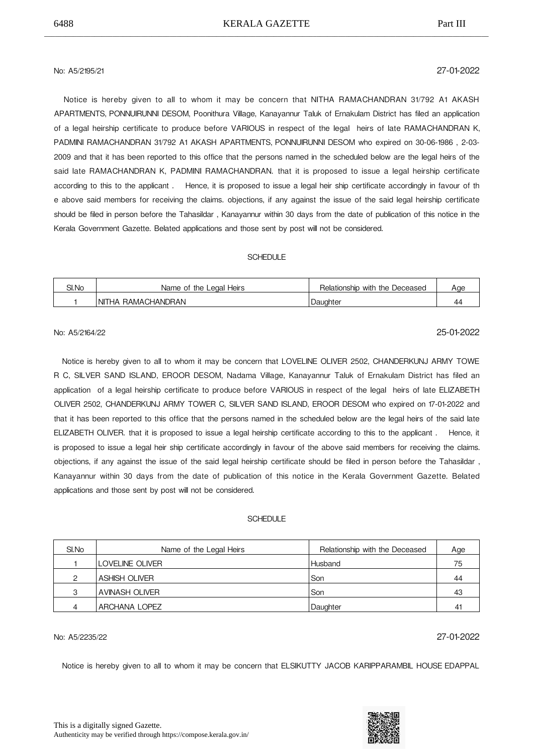## No: A5/2195/21 27-01-2022

 Notice is hereby given to all to whom it may be concern that NITHA RAMACHANDRAN 31/792 A1 AKASH APARTMENTS,
PONNUIRUNNI DESOM, Poonithura Village, Kanayannur Taluk of Ernakulam District has filed an application of a legal heirship certificate to produce before VARIOUS in respect of the legal heirs of late RAMACHANDRAN K, PADMINI RAMACHANDRAN 31/792 A1 AKASH APARTMENTS, PONNUIRUNNI DESOM who expired on 30-06-1986, 2-03-2009 and that it has been reported to this office that the persons named in the scheduled below are the legal heirs of the said late RAMACHANDRAN K, PADMINI RAMACHANDRAN. that it is proposed to issue a legal heirship certificate according to this to the applicant . 

 Hence, it is proposed to issue a legal heir ship certificate accordingly in favour of th e above said members for receiving the claims. objections, if any against the issue of the said legal heirship certificate should be filed in person before the Tahasildar , Kanayannur within 30 days from the date of publication of this notice in the Kerala Government Gazette. Belated applications and those sent by post will not be considered.

#### **SCHEDULE**

| SI.No | Heirs<br>Name of the Legal    | Relationship with the Deceased | Aae |
|-------|-------------------------------|--------------------------------|-----|
|       | RAMACHANDRAN<br><b>INITHA</b> | Daughter                       | 44  |

## No: A5/2164/22 25-01-2022

 Notice is hereby given to all to whom it may be concern that LOVELINE OLIVER 2502, CHANDERKUNJ ARMY TOWE R C, SILVER SAND ISLAND, EROOR DESOM, Nadama Village, Kanayannur Taluk of Ernakulam District has filed an application of a legal heirship certificate to produce before VARIOUS in respect of the legal heirs of late ELIZABETH OLIVER 2502, CHANDERKUNJ ARMY TOWER C, SILVER SAND ISLAND, EROOR DESOM who expired on 17-01-2022 and that it has been reported to this office that the persons named in the scheduled below are the legal heirs of the said late ELIZABETH OLIVER. that it is proposed to issue a legal heirship certificate according to this to the applicant. Hence, it is proposed to issue a legal heir ship certificate accordingly in favour of the above said members for receiving the claims. objections, if any against the issue of the said legal heirship certificate should be filed in person before the Tahasildar , Kanayannur within 30 days from the date of publication of this notice in the Kerala Government Gazette. Belated applications and those sent by post will not be considered.

#### **SCHEDULE**

| SI.No | Name of the Legal Heirs | Relationship with the Deceased | Age |
|-------|-------------------------|--------------------------------|-----|
|       | ILOVELINE OLIVER        | Husband                        | 75  |
| ◠     | ASHISH OLIVER           | Son                            | 44  |
| 3     | <b>AVINASH OLIVER</b>   | Son                            | 43  |
| 4     | <b>ARCHANA LOPEZ</b>    | Daughter                       | 4   |

## No: A5/2235/22 27-01-2022

Notice is hereby given to all to whom it may be concern that ELSIKUTTY JACOB KARIPPARAMBIL HOUSE
EDAPPAL

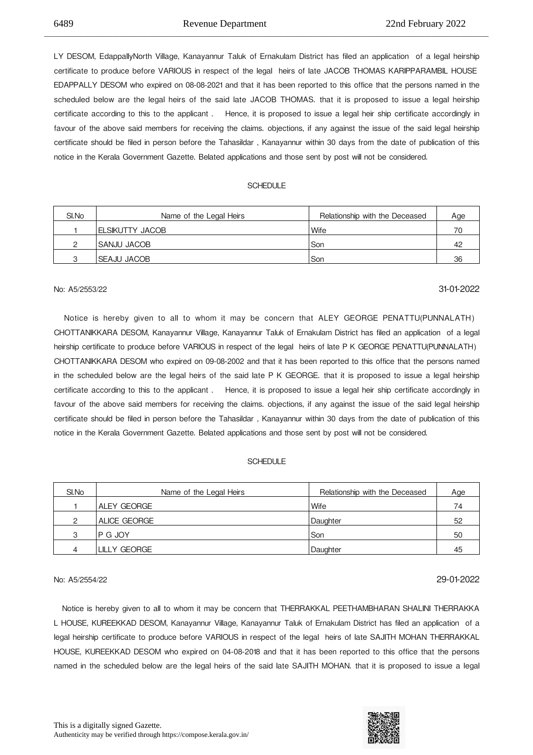LY DESOM, EdappallyNorth Village, Kanayannur Taluk of Ernakulam District has filed an application of a legal heirship certificate to produce before VARIOUS in respect of the legal heirs of late JACOB THOMAS KARIPPARAMBIL HOUSE EDAPPALLY DESOM who expired on 08-08-2021 and that it has been reported to this office that the persons named in the scheduled below are the legal heirs of the said late JACOB THOMAS. that it is proposed to issue a legal heirship certificate according to this to the applicant . 

 Hence, it is proposed to issue a legal heir ship certificate accordingly in favour of the above said members for receiving the claims. objections, if any against the issue of the said legal heirship certificate should be filed in person before the Tahasildar , Kanayannur within 30 days from the date of publication of this notice in the Kerala Government Gazette. Belated applications and those sent by post will not be considered.

\_\_\_\_\_\_\_\_\_\_\_\_\_\_\_\_\_\_\_\_\_\_\_\_\_\_\_\_\_\_\_\_\_\_\_\_\_\_\_\_\_\_\_\_\_\_\_\_\_\_\_\_\_\_\_\_\_\_\_\_\_\_\_\_\_\_\_\_\_\_\_\_\_\_\_\_\_\_\_\_\_\_\_\_\_\_\_\_\_\_\_\_\_\_\_\_\_\_\_\_\_\_\_\_\_\_\_\_\_\_\_\_\_\_\_\_\_\_\_\_\_\_\_\_

#### SCHEDULE

| SI.No | Name of the Legal Heirs | Relationship with the Deceased | Age |
|-------|-------------------------|--------------------------------|-----|
|       | IELSIKUTTY JACOB        | Wife                           | 70  |
|       | ISANJU JACOB            | Son                            | 42  |
|       | ISEAJU JACOB            | Son                            | 36  |

## No: A5/2553/22 31-01-2022

 Notice is hereby given to all to whom it may be concern that ALEY GEORGE PENATTU(PUNNALATH) CHOTTANIKKARA DESOM, Kanayannur Village, Kanayannur Taluk of Ernakulam District has filed an application of a legal heirship certificate to produce before VARIOUS in respect of the legal heirs of late P K GEORGE PENATTU(PUNNALATH) CHOTTANIKKARA DESOM who expired on 09-08-2002 and that it has been reported to this office that the persons named in the scheduled below are the legal heirs of the said late P K GEORGE. that it is proposed to issue a legal heirship certificate according to this to the applicant . 

 Hence, it is proposed to issue a legal heir ship certificate accordingly in favour of the above said members for receiving the claims. objections, if any against the issue of the said legal heirship certificate should be filed in person before the Tahasildar , Kanayannur within 30 days from the date of publication of this notice in the Kerala Government Gazette. Belated applications and those sent by post will not be considered.

#### **SCHEDULE**

| SI.No | Name of the Legal Heirs | Relationship with the Deceased | Age |
|-------|-------------------------|--------------------------------|-----|
|       | ALEY GEORGE             | Wife                           | 74  |
| ◠     | ALICE GEORGE            | Daughter                       | 52  |
| З     | P G JOY                 | Son                            | 50  |
|       | <b>LILLY GEORGE</b>     | Daughter                       | 45  |

No: A5/2554/22 29-01-2022

 Notice is hereby given to all to whom it may be concern that THERRAKKAL PEETHAMBHARAN SHALINI THERRAKKA L HOUSE, KUREEKKAD DESOM, Kanayannur Village, Kanayannur Taluk of Ernakulam District has filed an application of a legal heirship certificate to produce before VARIOUS in respect of the legal heirs of late SAJITH MOHAN THERRAKKAL HOUSE, KUREEKKAD DESOM who expired on 04-08-2018 and that it has been reported to this office that the persons named in the scheduled below are the legal heirs of the said late SAJITH MOHAN. that it is proposed to issue a legal

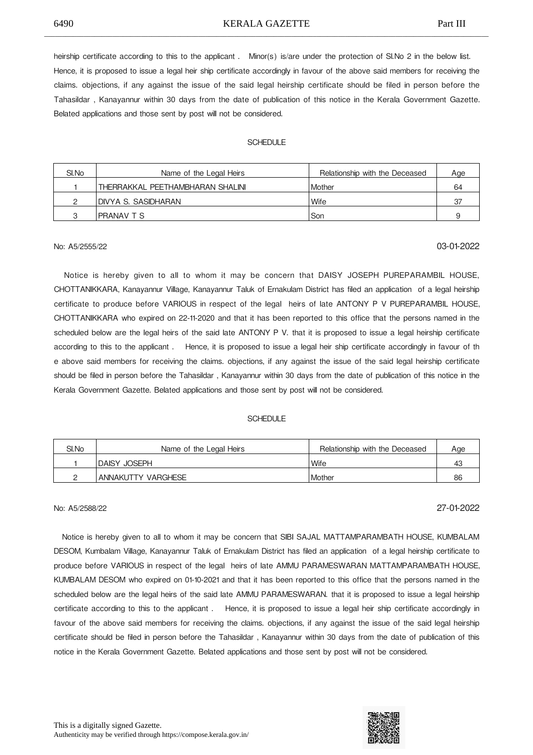#### 6490 KERALA GAZETTE Part III \_\_\_\_\_\_\_\_\_\_\_\_\_\_\_\_\_\_\_\_\_\_\_\_\_\_\_\_\_\_\_\_\_\_\_\_\_\_\_\_\_\_\_\_\_\_\_\_\_\_\_\_\_\_\_\_\_\_\_\_\_\_\_\_\_\_\_\_\_\_\_\_\_\_\_\_\_\_\_\_\_\_\_\_\_\_\_\_\_\_\_\_\_\_\_\_\_\_\_\_\_\_\_\_\_\_\_\_\_\_\_\_\_\_\_\_\_\_\_\_\_\_\_\_

heirship certificate according to this to the applicant. Minor(s) is/are under the protection of SI.No 2 in the below list. Hence, it is proposed to issue a legal heir ship certificate accordingly in favour of the above said members for receiving the claims. objections, if any against the issue of the said legal heirship certificate should be filed in person before the Tahasildar , Kanayannur within 30 days from the date of publication of this notice in the Kerala Government Gazette. Belated applications and those sent by post will not be considered.

### SCHEDULE

| SI.No | Name of the Legal Heirs          | Relationship with the Deceased | Age |
|-------|----------------------------------|--------------------------------|-----|
|       | THERRAKKAL PEETHAMBHARAN SHALINI | l Mother                       | 64  |
|       | IDIVYA S. SASIDHARAN             | Wife                           | -37 |
|       | <b>PRANAV T S</b>                | Son                            |     |

## No: A5/2555/22 03-01-2022

 Notice is hereby given to all to whom it may be concern that DAISY JOSEPH PUREPARAMBIL HOUSE, CHOTTANIKKARA, Kanayannur Village, Kanayannur Taluk of Ernakulam District has filed an application of a legal heirship certificate to produce before VARIOUS in respect of the legal heirs of late ANTONY P V PUREPARAMBIL HOUSE, CHOTTANIKKARA who expired on 22-11-2020 and that it has been reported to this office that the persons named in the scheduled below are the legal heirs of the said late ANTONY P V. that it is proposed to issue a legal heirship certificate according to this to the applicant . 

 Hence, it is proposed to issue a legal heir ship certificate accordingly in favour of th e above said members for receiving the claims. objections, if any against the issue of the said legal heirship certificate should be filed in person before the Tahasildar , Kanayannur within 30 days from the date of publication of this notice in the Kerala Government Gazette. Belated applications and those sent by post will not be considered.

### **SCHEDULE**

| SI.No | Name of the Legal Heirs | Relationship with the Deceased | Aae |
|-------|-------------------------|--------------------------------|-----|
|       | IDAISY JOSEPH           | Wife                           | 43  |
|       | ANNAKUTTY VARGHESE      | <b>Mother</b>                  | 86  |

## No: A5/2588/22 27-01-2022

 Notice is hereby given to all to whom it may be concern that SIBI SAJAL MATTAMPARAMBATH HOUSE, KUMBALAM DESOM, Kumbalam Village, Kanayannur Taluk of Ernakulam District has filed an application of a legal heirship certificate to produce before VARIOUS in respect of the legal heirs of late AMMU PARAMESWARAN MATTAMPARAMBATH HOUSE, KUMBALAM DESOM who expired on 01-10-2021 and that it has been reported to this office that the persons named in the scheduled below are the legal heirs of the said late AMMU PARAMESWARAN, that it is proposed to issue a legal heirship certificate according to this to the applicant . 

 Hence, it is proposed to issue a legal heir ship certificate accordingly in favour of the above said members for receiving the claims. objections, if any against the issue of the said legal heirship certificate should be filed in person before the Tahasildar , Kanayannur within 30 days from the date of publication of this notice in the Kerala Government Gazette. Belated applications and those sent by post will not be considered.



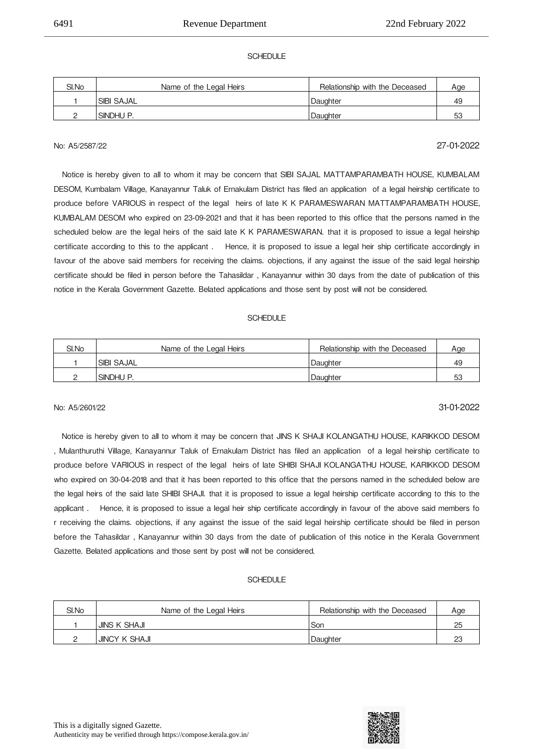### SCHEDULE

\_\_\_\_\_\_\_\_\_\_\_\_\_\_\_\_\_\_\_\_\_\_\_\_\_\_\_\_\_\_\_\_\_\_\_\_\_\_\_\_\_\_\_\_\_\_\_\_\_\_\_\_\_\_\_\_\_\_\_\_\_\_\_\_\_\_\_\_\_\_\_\_\_\_\_\_\_\_\_\_\_\_\_\_\_\_\_\_\_\_\_\_\_\_\_\_\_\_\_\_\_\_\_\_\_\_\_\_\_\_\_\_\_\_\_\_\_\_\_\_\_\_\_\_

| SI.No | Name of the Legal Heirs | Relationship with the Deceased | Age |
|-------|-------------------------|--------------------------------|-----|
|       | <b>SIBI SAJAL</b>       | Daughter                       | 49  |
|       | SINDHU P.               | Daughter                       | -53 |

## No: A5/2587/22 27-01-2022

 Notice is hereby given to all to whom it may be concern that SIBI SAJAL MATTAMPARAMBATH HOUSE, KUMBALAM DESOM, Kumbalam Village, Kanayannur Taluk of Ernakulam District has filed an application of a legal heirship certificate to produce before VARIOUS in respect of the legal heirs of late K K PARAMESWARAN MATTAMPARAMBATH HOUSE, KUMBALAM DESOM who expired on 23-09-2021 and that it has been reported to this office that the persons named in the scheduled below are the legal heirs of the said late K K PARAMESWARAN, that it is proposed to issue a legal heirship certificate according to this to the applicant. Hence, it is proposed to issue a legal heir ship certificate accordingly in favour of the above said members for receiving the claims, objections, if any against the issue of the said legal heirship certificate should be filed in person before the Tahasildar , Kanayannur within 30 days from the date of publication of this notice in the Kerala Government Gazette. Belated applications and those sent by post will not be considered.

#### SCHEDULE

| SI.No | Name of the Legal Heirs | Relationship with the Deceased | Age |
|-------|-------------------------|--------------------------------|-----|
|       | <b>SIBI SAJAL</b>       | Daughter                       | 49  |
|       | SINDHU P.               | Daughter                       | 53  |

## No: A5/2601/22 31-01-2022

 Notice is hereby given to all to whom it may be concern that JINS K SHAJI KOLANGATHU HOUSE, KARIKKOD DESOM , Mulanthuruthi Village, Kanayannur Taluk of Ernakulam District has filed an application of a legal heirship certificate to produce before VARIOUS in respect of the legal heirs of late SHIBI SHAJI KOLANGATHU HOUSE, KARIKKOD DESOM who expired on 30-04-2018 and that it has been reported to this office that the persons named in the scheduled below are the legal heirs of the said late SHIBI SHAJI. that it is proposed to issue a legal heirship certificate according to this to the applicant . 

 Hence, it is proposed to issue a legal heir ship certificate accordingly in favour of the above said members fo r receiving the claims. objections, if any against the issue of the said legal heirship certificate should be filed in person before the Tahasildar , Kanayannur within 30 days from the date of publication of this notice in the Kerala Government Gazette. Belated applications and those sent by post will not be considered.

| SI.No | Name of the Legal Heirs | Relationship with the Deceased | Age |
|-------|-------------------------|--------------------------------|-----|
|       | <b>JINS K SHAJI</b>     | Son                            | 25  |
|       | JINCY K SHAJI           | Daughter                       | nr  |

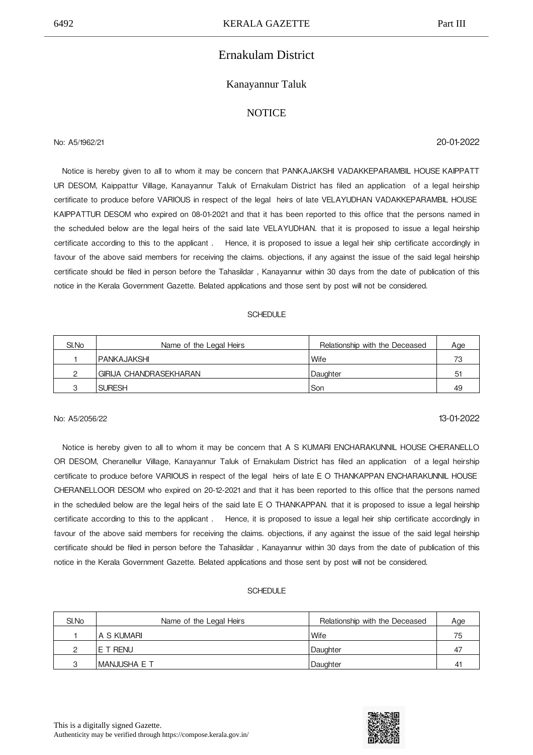## Ernakulam District

### Kanayannur Taluk

### **NOTICE**

No: A5/1962/21 20-01-2022

Notice is hereby given to all to whom it may be concern that PANKAJAKSHI VADAKKEPARAMBIL HOUSE KAIPPATT UR DESOM, Kaippattur Village, Kanayannur Taluk of Ernakulam District has filed an application of a legal heirship certificate to produce before VARIOUS in respect of the legal heirs of late VELAYUDHAN VADAKKEPARAMBIL HOUSE KAIPPATTUR DESOM who expired on 08-01-2021 and that it has been reported to this office that the persons named in the scheduled below are the legal heirs of the said late VELAYUDHAN. that it is proposed to issue a legal heirship certificate according to this to the applicant . 

 Hence, it is proposed to issue a legal heir ship certificate accordingly in favour of the above said members for receiving the claims. objections, if any against the issue of the said legal heirship certificate should be filed in person before the Tahasildar , Kanayannur within 30 days from the date of publication of this notice in the Kerala Government Gazette. Belated applications and those sent by post will not be considered.

### **SCHEDULE**

| SI.No | Name of the Legal Heirs | Relationship with the Deceased | Age |
|-------|-------------------------|--------------------------------|-----|
|       | IPANKAJAKSHI            | l Wife                         | 73  |
|       | GIRIJA CHANDRASEKHARAN  | Daughter                       | 51  |
|       | <b>SURESH</b>           | l Son                          | 49  |

## No: A5/2056/22 13-01-2022

Notice is hereby given to all to whom it may be concern that A S KUMARI ENCHARAKUNNIL HOUSE CHERANELLO OR DESOM, Cheranellur Village, Kanayannur Taluk of Ernakulam District has filed an application of a legal heirship certificate to produce before VARIOUS in respect of the legal heirs of late E O THANKAPPAN ENCHARAKUNNIL HOUSE CHERANELLOOR DESOM who expired on 20-12-2021 and that it has been reported to this office that the persons named in the scheduled below are the legal heirs of the said late E O THANKAPPAN. that it is proposed to issue a legal heirship certificate according to this to the applicant. Hence, it is proposed to issue a legal heir ship certificate accordingly in favour of the above said members for receiving the claims. objections, if any against the issue of the said legal heirship certificate should be filed in person before the Tahasildar , Kanayannur within 30 days from the date of publication of this notice in the Kerala Government Gazette. Belated applications and those sent by post will not be considered.

| SI.No | Name of the Legal Heirs | Relationship with the Deceased | Age         |
|-------|-------------------------|--------------------------------|-------------|
|       | IA S KUMARI             | Wife                           | 75          |
|       | E T RENU                | Daughter                       | 47          |
|       | IMANJUSHA E T           | Daughter                       | $4^{\circ}$ |

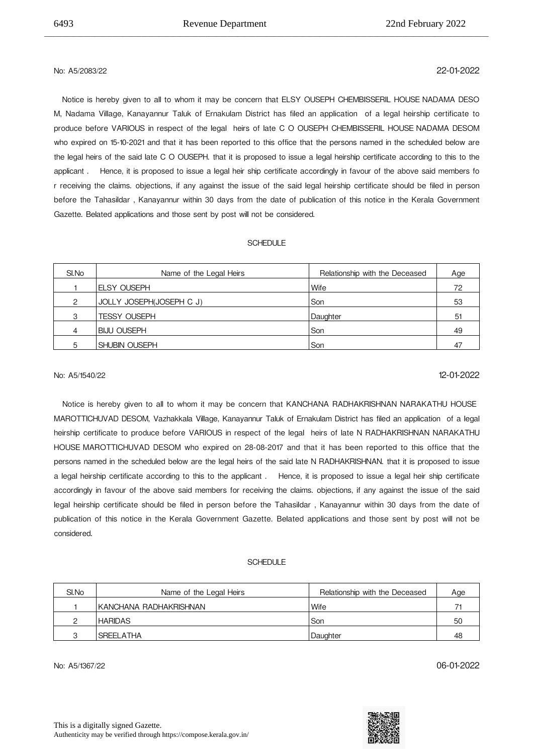## No: A5/2083/22 22-01-2022

 Notice is hereby given to all to whom it may be concern that ELSY OUSEPH CHEMBISSERIL HOUSE
NADAMA DESO M, Nadama Village, Kanayannur Taluk of Ernakulam District has filed an application of a legal heirship certificate to produce before VARIOUS in respect of the legal heirs of late C O OUSEPH CHEMBISSERIL HOUSE
NADAMA DESOM who expired on 15-10-2021 and that it has been reported to this office that the persons named in the scheduled below are the legal heirs of the said late C O OUSEPH. that it is proposed to issue a legal heirship certificate according to this to the applicant . 

 Hence, it is proposed to issue a legal heir ship certificate accordingly in favour of the above said members fo r receiving the claims. objections, if any against the issue of the said legal heirship certificate should be filed in person before the Tahasildar , Kanayannur within 30 days from the date of publication of this notice in the Kerala Government Gazette. Belated applications and those sent by post will not be considered.

\_\_\_\_\_\_\_\_\_\_\_\_\_\_\_\_\_\_\_\_\_\_\_\_\_\_\_\_\_\_\_\_\_\_\_\_\_\_\_\_\_\_\_\_\_\_\_\_\_\_\_\_\_\_\_\_\_\_\_\_\_\_\_\_\_\_\_\_\_\_\_\_\_\_\_\_\_\_\_\_\_\_\_\_\_\_\_\_\_\_\_\_\_\_\_\_\_\_\_\_\_\_\_\_\_\_\_\_\_\_\_\_\_\_\_\_\_\_\_\_\_\_\_\_

### SCHEDULE

| SI.No | Name of the Legal Heirs  | Relationship with the Deceased | Age |
|-------|--------------------------|--------------------------------|-----|
|       | <b>ELSY OUSEPH</b>       | Wife                           | 72  |
| 2     | JOLLY JOSEPH(JOSEPH C J) | Son                            | 53  |
| 3     | <b>TESSY OUSEPH</b>      | Daughter                       | 51  |
| 4     | <b>IBIJU OUSEPH</b>      | Son                            | 49  |
| 5     | <b>SHUBIN OUSEPH</b>     | Son                            | 47  |

## No: A5/1540/22 12-01-2022

 Notice is hereby given to all to whom it may be concern that KANCHANA RADHAKRISHNAN NARAKATHU HOUSE MAROTTICHUVAD DESOM, Vazhakkala Village, Kanayannur Taluk of Ernakulam District has filed an application of a legal heirship certificate to produce before VARIOUS in respect of the legal heirs of late N RADHAKRISHNAN NARAKATHU HOUSE
MAROTTICHUVAD DESOM who expired on 28-08-2017 and that it has been reported to this office that the persons named in the scheduled below are the legal heirs of the said late N RADHAKRISHNAN. that it is proposed to issue a legal heirship certificate according to this to the applicant . 

 Hence, it is proposed to issue a legal heir ship certificate accordingly in favour of the above said members for receiving the claims. objections, if any against the issue of the said legal heirship certificate should be filed in person before the Tahasildar , Kanayannur within 30 days from the date of publication of this notice in the Kerala Government Gazette. Belated applications and those sent by post will not be considered.

#### **SCHEDULE**

| SI.No | Name of the Legal Heirs | Relationship with the Deceased | Age |
|-------|-------------------------|--------------------------------|-----|
|       | IKANCHANA RADHAKRISHNAN | Wife                           |     |
|       | <b>I HARIDAS</b>        | Son                            | 50  |
|       | <b>ISREELATHA</b>       | <b>Daughter</b>                | 48  |

No: A5/1367/22 06-01-2022

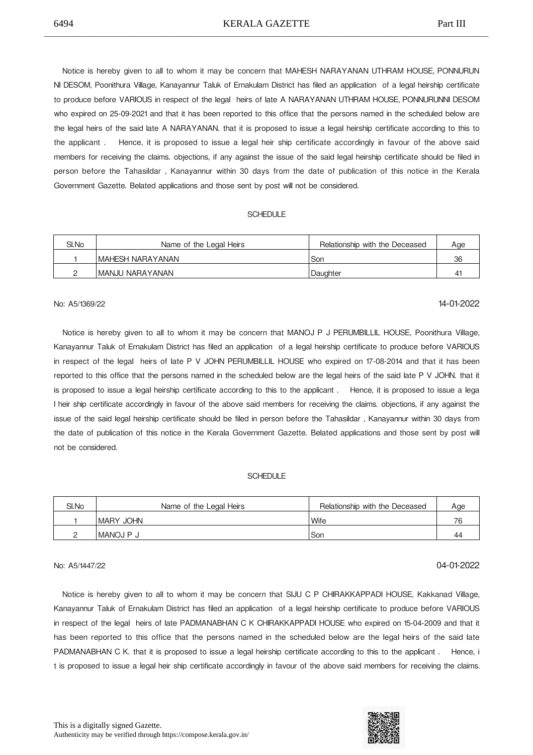Notice is hereby given to all to whom it may be concern that MAHESH NARAYANAN UTHRAM HOUSE, PONNURUN NI DESOM, Poonithura Village, Kanayannur Taluk of Ernakulam District has filed an application of a legal heirship certificate to produce before VARIOUS in respect of the legal heirs of late A NARAYANAN UTHRAM HOUSE,
PONNURUNNI DESOM who expired on 25-09-2021 and that it has been reported to this office that the persons named in the scheduled below are the legal heirs of the said late A NARAYANAN. that it is proposed to issue a legal heirship certificate according to this to the applicant . 

 Hence, it is proposed to issue a legal heir ship certificate accordingly in favour of the above said members for receiving the claims. objections, if any against the issue of the said legal heirship certificate should be filed in person before the Tahasildar , Kanayannur within 30 days from the date of publication of this notice in the Kerala Government Gazette. Belated applications and those sent by post will not be considered.

#### **SCHEDULE**

| SI.No | Name of the Legal Heirs | Relationship with the Deceased | Age |
|-------|-------------------------|--------------------------------|-----|
|       | IMAHESH NARAYANAN       | Son                            | 36  |
|       | IMANJU NARAYANAN        | Daughter                       | 4   |

## No: A5/1369/22 14-01-2022

 Notice is hereby given to all to whom it may be concern that MANOJ P J PERUMBILLIL HOUSE, Poonithura Village, Kanayannur Taluk of Ernakulam District has filed an application of a legal heirship certificate to produce before VARIOUS in respect of the legal heirs of late P V JOHN PERUMBILLIL HOUSE who expired on 17-08-2014 and that it has been reported to this office that the persons named in the scheduled below are the legal heirs of the said late P V JOHN. that it is proposed to issue a legal heirship certificate according to this to the applicant . 

 Hence, it is proposed to issue a lega l heir ship certificate accordingly in favour of the above said members for receiving the claims. objections, if any against the issue of the said legal heirship certificate should be filed in person before the Tahasildar , Kanayannur within 30 days from the date of publication of this notice in the Kerala Government Gazette. Belated applications and those sent by post will not be considered.

### **SCHEDULE**

| SI.No | Name of the Legal Heirs | Relationship with the Deceased | Aae |
|-------|-------------------------|--------------------------------|-----|
|       | IMARY JOHN              | 'Wife                          | 76  |
|       | MANOJ P J               | Son                            | 44  |

## No: A5/1447/22 04-01-2022

 Notice is hereby given to all to whom it may be concern that SIJU C P CHIRAKKAPPADI HOUSE, Kakkanad Village, Kanayannur Taluk of Ernakulam District has filed an application of a legal heirship certificate to produce before VARIOUS in respect of the legal heirs of late PADMANABHAN C K CHIRAKKAPPADI HOUSE who expired on 15-04-2009 and that it has been reported to this office that the persons named in the scheduled below are the legal heirs of the said late PADMANABHAN C K. that it is proposed to issue a legal heirship certificate according to this to the applicant . Hence, i t is proposed to issue a legal heir ship certificate accordingly in favour of the above said members for receiving the claims.

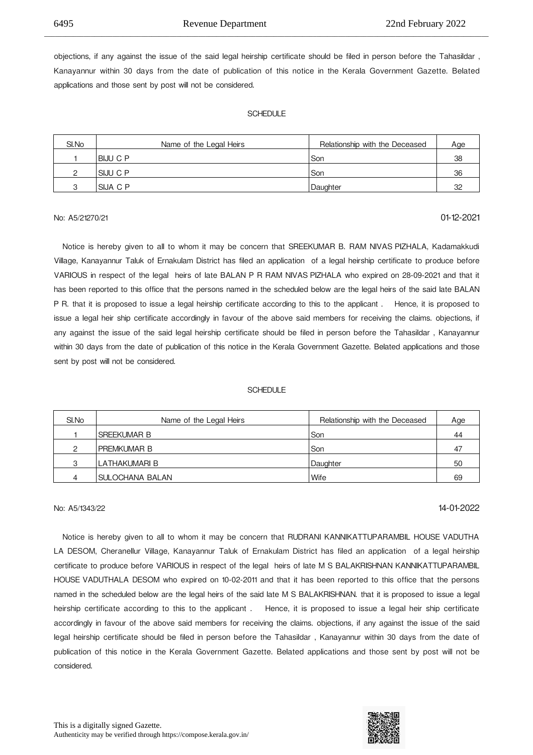objections, if any against the issue of the said legal heirship certificate should be filed in person before the Tahasildar , Kanayannur within 30 days from the date of publication of this notice in the Kerala Government Gazette. Belated applications and those sent by post will not be considered.

\_\_\_\_\_\_\_\_\_\_\_\_\_\_\_\_\_\_\_\_\_\_\_\_\_\_\_\_\_\_\_\_\_\_\_\_\_\_\_\_\_\_\_\_\_\_\_\_\_\_\_\_\_\_\_\_\_\_\_\_\_\_\_\_\_\_\_\_\_\_\_\_\_\_\_\_\_\_\_\_\_\_\_\_\_\_\_\_\_\_\_\_\_\_\_\_\_\_\_\_\_\_\_\_\_\_\_\_\_\_\_\_\_\_\_\_\_\_\_\_\_\_\_\_

#### **SCHEDULE**

| SI.No | Name of the Legal Heirs | Relationship with the Deceased | Age |
|-------|-------------------------|--------------------------------|-----|
|       | IBIJU C P               | Son                            | 38  |
|       | ISIJU C P               | Son                            | 36  |
|       | ISIJA C P               | Daughter                       | 32  |

## No: A5/21270/21 01-12-2021

 Notice is hereby given to all to whom it may be concern that SREEKUMAR B. RAM NIVAS
PIZHALA, Kadamakkudi Village, Kanayannur Taluk of Ernakulam District has filed an application of a legal heirship certificate to produce before VARIOUS in respect of the legal heirs of late BALAN P R RAM NIVAS
PIZHALA who expired on 28-09-2021 and that it has been reported to this office that the persons named in the scheduled below are the legal heirs of the said late BALAN P R. that it is proposed to issue a legal heirship certificate according to this to the applicant. Hence, it is proposed to issue a legal heir ship certificate accordingly in favour of the above said members for receiving the claims. objections, if any against the issue of the said legal heirship certificate should be filed in person before the Tahasildar , Kanayannur within 30 days from the date of publication of this notice in the Kerala Government Gazette. Belated applications and those sent by post will not be considered.

#### **SCHEDULE**

| SI.No | Name of the Legal Heirs | Relationship with the Deceased | Age |
|-------|-------------------------|--------------------------------|-----|
|       | <b>SREEKUMAR B</b>      | Son                            | 44  |
| ⌒     | I PREMKUMAR B           | Son                            | 47  |
| 3     | LATHAKUMARI B           | Daughter                       | 50  |
| 4     | SULOCHANA BALAN         | Wife                           | 69  |

## No: A5/1343/22 14-01-2022

 Notice is hereby given to all to whom it may be concern that RUDRANI KANNIKATTUPARAMBIL HOUSE
VADUTHA LA DESOM, Cheranellur Village, Kanayannur Taluk of Ernakulam District has filed an application of a legal heirship certificate to produce before VARIOUS in respect of the legal heirs of late M S BALAKRISHNAN KANNIKATTUPARAMBIL HOUSE
VADUTHALA DESOM who expired on 10-02-2011 and that it has been reported to this office that the persons named in the scheduled below are the legal heirs of the said late M S BALAKRISHNAN. that it is proposed to issue a legal heirship certificate according to this to the applicant. Hence, it is proposed to issue a legal heir ship certificate accordingly in favour of the above said members for receiving the claims. objections, if any against the issue of the said legal heirship certificate should be filed in person before the Tahasildar , Kanayannur within 30 days from the date of publication of this notice in the Kerala Government Gazette. Belated applications and those sent by post will not be considered.

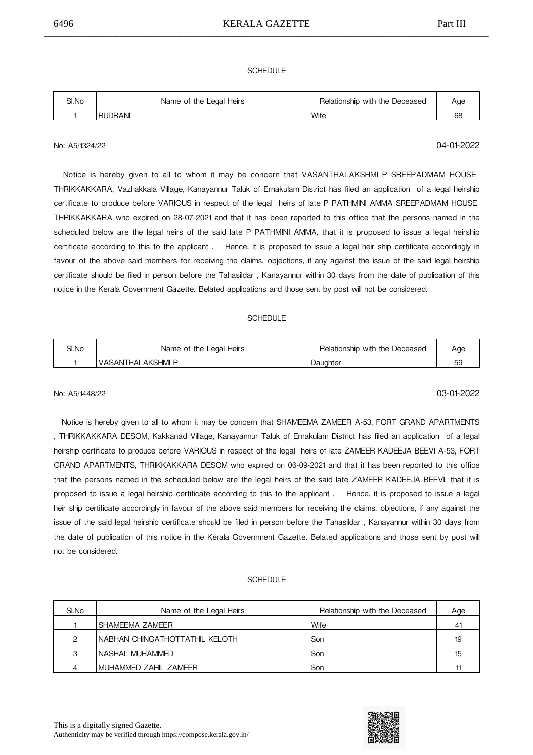### **SCHEDULE**

| SI.No | Name of the Legal Heirs | Relationship with the Deceased |  |
|-------|-------------------------|--------------------------------|--|
|       | JDRANI<br>Rl            | <b>Wife</b>                    |  |

## No: A5/1324/22 04-01-2022

 Notice is hereby given to all to whom it may be concern that VASANTHALAKSHMI P SREEPADMAM HOUSE THRIKKAKKARA, Vazhakkala Village, Kanayannur Taluk of Ernakulam District has filed an application of a legal heirship certificate to produce before VARIOUS in respect of the legal heirs of late P PATHMINI AMMA SREEPADMAM HOUSE THRIKKAKKARA who expired on 28-07-2021 and that it has been reported to this office that the persons named in the scheduled below are the legal heirs of the said late P PATHMINI AMMA, that it is proposed to issue a legal heirship certificate according to this to the applicant . 

 Hence, it is proposed to issue a legal heir ship certificate accordingly in favour of the above said members for receiving the claims, objections, if any against the issue of the said legal heirship certificate should be filed in person before the Tahasildar , Kanayannur within 30 days from the date of publication of this notice in the Kerala Government Gazette. Belated applications and those sent by post will not be considered.

### SCHEDULE

| SI.No | Name of the Legal Heirs | Relationship with the Deceased |                     |
|-------|-------------------------|--------------------------------|---------------------|
|       | VASANTHALAKSHMI P       | Daughter                       | $\overline{c}$<br>∽ |

## No: A5/1448/22 03-01-2022

 Notice is hereby given to all to whom it may be concern that SHAMEEMA ZAMEER A-53, FORT GRAND APARTMENTS , THRIKKAKKARA DESOM, Kakkanad Village, Kanayannur Taluk of Ernakulam District has filed an application of a legal heirship certificate to produce before VARIOUS in respect of the legal heirs of late ZAMEER KADEEJA BEEVI A-53, FORT GRAND APARTMENTS, THRIKKAKKARA DESOM who expired on 06-09-2021 and that it has been reported to this office that the persons named in the scheduled below are the legal heirs of the said late ZAMEER KADEEJA BEEVI. that it is proposed to issue a legal heirship certificate according to this to the applicant . Hence, it is proposed to issue a legal heir ship certificate accordingly in favour of the above said members for receiving the claims. objections, if any against the issue of the said legal heirship certificate should be filed in person before the Tahasildar , Kanayannur within 30 days from the date of publication of this notice in the Kerala Government Gazette. Belated applications and those sent by post will not be considered.

| SI.No | Name of the Legal Heirs         | Relationship with the Deceased | Age |
|-------|---------------------------------|--------------------------------|-----|
|       | SHAMFFMA ZAMFFR                 | Wife                           | 41  |
| ◠     | INABHAN CHINGATHOTTATHIL KELOTH | Son                            | 19  |
| ◠     | INASHAL MUHAMMED                | Son                            | 15  |
|       | IMUHAMMED ZAHIL ZAMEER          | Son                            |     |

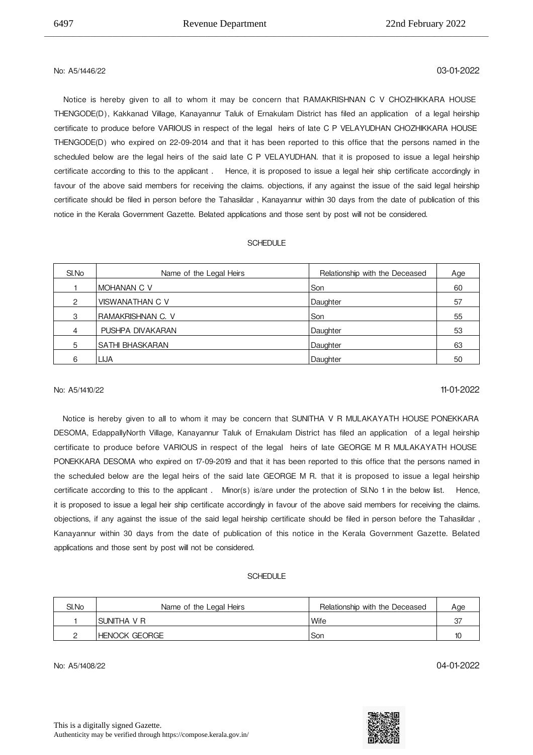## No: A5/1446/22 03-01-2022

 Notice is hereby given to all to whom it may be concern that RAMAKRISHNAN C V CHOZHIKKARA HOUSE THENGODE(D), Kakkanad Village, Kanayannur Taluk of Ernakulam District has filed an application of a legal heirship certificate to produce before VARIOUS in respect of the legal heirs of late C P VELAYUDHAN CHOZHIKKARA HOUSE THENGODE(D) who expired on 22-09-2014 and that it has been reported to this office that the persons named in the scheduled below are the legal heirs of the said late C P VELAYUDHAN. that it is proposed to issue a legal heirship certificate according to this to the applicant . 

 Hence, it is proposed to issue a legal heir ship certificate accordingly in favour of the above said members for receiving the claims. objections, if any against the issue of the said legal heirship certificate should be filed in person before the Tahasildar , Kanayannur within 30 days from the date of publication of this notice in the Kerala Government Gazette. Belated applications and those sent by post will not be considered.

\_\_\_\_\_\_\_\_\_\_\_\_\_\_\_\_\_\_\_\_\_\_\_\_\_\_\_\_\_\_\_\_\_\_\_\_\_\_\_\_\_\_\_\_\_\_\_\_\_\_\_\_\_\_\_\_\_\_\_\_\_\_\_\_\_\_\_\_\_\_\_\_\_\_\_\_\_\_\_\_\_\_\_\_\_\_\_\_\_\_\_\_\_\_\_\_\_\_\_\_\_\_\_\_\_\_\_\_\_\_\_\_\_\_\_\_\_\_\_\_\_\_\_\_

### SCHEDULE

| SI.No         | Name of the Legal Heirs | Relationship with the Deceased | Age |
|---------------|-------------------------|--------------------------------|-----|
|               | IMOHANAN C V            | Son                            | 60  |
| $\mathcal{P}$ | VISWANATHAN C V         | Daughter                       | 57  |
| 3             | IRAMAKRISHNAN C. V      | Son                            | 55  |
| 4             | PUSHPA DIVAKARAN        | Daughter                       | 53  |
| 5             | ISATHI BHASKARAN        | Daughter                       | 63  |
| 6             | <b>LIJA</b>             | Daughter                       | 50  |

## No: A5/1410/22 11-01-2022

Notice is hereby given to all to whom it may be concern that SUNITHA V R MULAKAYATH HOUSE PONEKKARA DESOMA, EdappallyNorth Village, Kanayannur Taluk of Ernakulam District has filed an application of a legal heirship certificate to produce before VARIOUS in respect of the legal heirs of late GEORGE M R MULAKAYATH HOUSE PONEKKARA DESOMA who expired on 17-09-2019 and that it has been reported to this office that the persons named in the scheduled below are the legal heirs of the said late GEORGE M R. that it is proposed to issue a legal heirship certificate according to this to the applicant. Minor(s) is/are under the protection of SI.No 1 in the below list. Hence, it is proposed to issue a legal heir ship certificate accordingly in favour of the above said members for receiving the claims. objections, if any against the issue of the said legal heirship certificate should be filed in person before the Tahasildar , Kanayannur within 30 days from the date of publication of this notice in the Kerala Government Gazette. Belated applications and those sent by post will not be considered.

### **SCHEDULE**

| SI.No | Name of the Legal Heirs | Relationship with the Deceased | Age |
|-------|-------------------------|--------------------------------|-----|
|       | ISUNITHA V R            | Wife                           | 37  |
|       | IHENOCK GEORGE          | Son                            | 10  |

No: A5/1408/22 04-01-2022

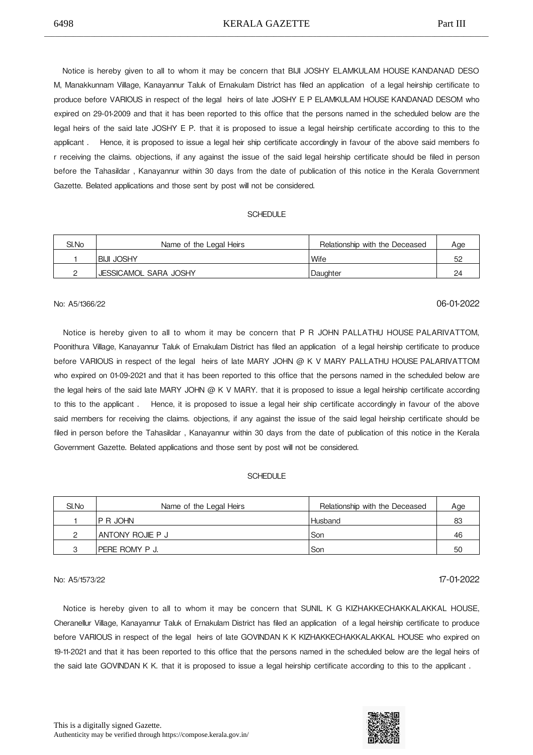Notice is hereby given to all to whom it may be concern that BIJI JOSHY ELAMKULAM HOUSE
KANDANAD DESO M, Manakkunnam Village, Kanayannur Taluk of Ernakulam District has filed an application of a legal heirship certificate to produce before VARIOUS in respect of the legal heirs of late JOSHY E P ELAMKULAM HOUSE KANDANAD DESOM who expired on 29-01-2009 and that it has been reported to this office that the persons named in the scheduled below are the legal heirs of the said late JOSHY E P. that it is proposed to issue a legal heirship certificate according to this to the applicant . 

 Hence, it is proposed to issue a legal heir ship certificate accordingly in favour of the above said members fo r receiving the claims. objections, if any against the issue of the said legal heirship certificate should be filed in person before the Tahasildar , Kanayannur within 30 days from the date of publication of this notice in the Kerala Government Gazette. Belated applications and those sent by post will not be considered.

### **SCHEDULE**

| SI.No | Name of the Legal Heirs | Relationship with the Deceased | Age |
|-------|-------------------------|--------------------------------|-----|
|       | IBIJI JOSHY             | <b>Wife</b>                    | 52  |
|       | JESSICAMOL SARA JOSHY   | Daughter                       | 24  |

## No: A5/1366/22 06-01-2022

Notice is hereby given to all to whom it may be concern that P R JOHN PALLATHU HOUSE PALARIVATTOM, Poonithura Village, Kanayannur Taluk of Ernakulam District has filed an application of a legal heirship certificate to produce before VARIOUS in respect of the legal heirs of late MARY JOHN @ K V MARY PALLATHU HOUSE PALARIVATTOM who expired on 01-09-2021 and that it has been reported to this office that the persons named in the scheduled below are the legal heirs of the said late MARY JOHN  $@$  K V MARY. that it is proposed to issue a legal heirship certificate according to this to the applicant. Hence, it is proposed to issue a legal heir ship certificate accordingly in favour of the above said members for receiving the claims. objections, if any against the issue of the said legal heirship certificate should be filed in person before the Tahasildar , Kanayannur within 30 days from the date of publication of this notice in the Kerala Government Gazette. Belated applications and those sent by post will not be considered.

#### **SCHEDULE**

| SI.No | Name of the Legal Heirs | Relationship with the Deceased | Age |
|-------|-------------------------|--------------------------------|-----|
|       | IP R JOHN               | <b>Husband</b>                 | 83  |
| ∩     | 'ANTONY ROJIE P J       | l Son                          | 46  |
|       | I PERE ROMY P J.        | l Son                          | 50  |

## No: A5/1573/22 17-01-2022

Notice is hereby given to all to whom it may be concern that SUNIL K G KIZHAKKECHAKKALAKKAL HOUSE, Cheranellur Village, Kanayannur Taluk of Ernakulam District has filed an application of a legal heirship certificate to produce before VARIOUS in respect of the legal heirs of late GOVINDAN K K KIZHAKKECHAKKALAKKAL HOUSE who expired on 19-11-2021 and that it has been reported to this office that the persons named in the scheduled below are the legal heirs of the said late GOVINDAN K K. that it is proposed to issue a legal heirship certificate according to this to the applicant .

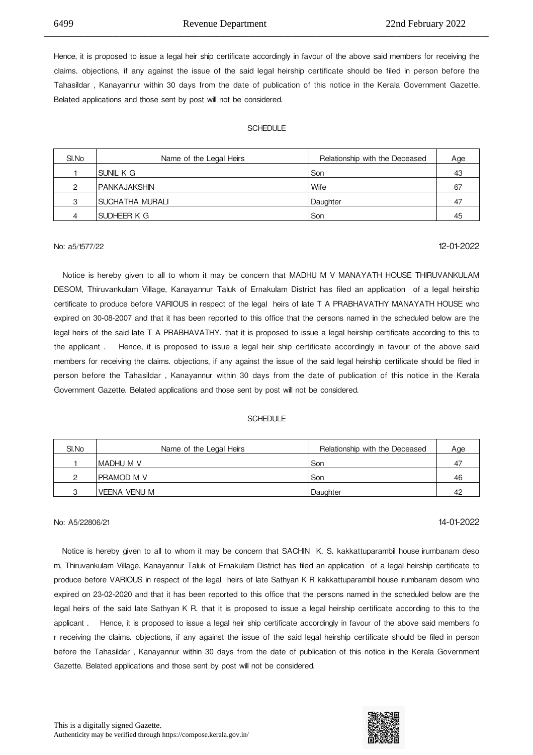Hence, it is proposed to issue a legal heir ship certificate accordingly in favour of the above said members for receiving the claims. objections, if any against the issue of the said legal heirship certificate should be filed in person before the Tahasildar , Kanayannur within 30 days from the date of publication of this notice in the Kerala Government Gazette. Belated applications and those sent by post will not be considered.

\_\_\_\_\_\_\_\_\_\_\_\_\_\_\_\_\_\_\_\_\_\_\_\_\_\_\_\_\_\_\_\_\_\_\_\_\_\_\_\_\_\_\_\_\_\_\_\_\_\_\_\_\_\_\_\_\_\_\_\_\_\_\_\_\_\_\_\_\_\_\_\_\_\_\_\_\_\_\_\_\_\_\_\_\_\_\_\_\_\_\_\_\_\_\_\_\_\_\_\_\_\_\_\_\_\_\_\_\_\_\_\_\_\_\_\_\_\_\_\_\_\_\_\_

#### **SCHEDULE**

| SI.No | Name of the Legal Heirs | Relationship with the Deceased | Age |
|-------|-------------------------|--------------------------------|-----|
|       | SUNIL K G               | l Son                          | 43  |
| ◠     | I PANKAJAKSHIN          | <b>Wife</b>                    | 67  |
| 3     | SUCHATHA MURALI         | Daughter                       | 47  |
| 4     | SUDHEER K G             | l Son                          | 45  |

## No: a5/1577/22 12-01-2022

 Notice is hereby given to all to whom it may be concern that MADHU M V MANAYATH HOUSE THIRUVANKULAM DESOM, Thiruvankulam Village, Kanayannur Taluk of Ernakulam District has filed an application of a legal heirship certificate to produce before VARIOUS in respect of the legal heirs of late T A PRABHAVATHY MANAYATH HOUSE who expired on 30-08-2007 and that it has been reported to this office that the persons named in the scheduled below are the legal heirs of the said late T A PRABHAVATHY. that it is proposed to issue a legal heirship certificate according to this to the applicant . 

 Hence, it is proposed to issue a legal heir ship certificate accordingly in favour of the above said members for receiving the claims. objections, if any against the issue of the said legal heirship certificate should be filed in person before the Tahasildar , Kanayannur within 30 days from the date of publication of this notice in the Kerala Government Gazette. Belated applications and those sent by post will not be considered.

### **SCHEDULE**

| SI.No | Name of the Legal Heirs | Relationship with the Deceased | Age |
|-------|-------------------------|--------------------------------|-----|
|       | imadhu m v              | Son                            | 47  |
| ∩     | ipramod m v             | Son                            | 46  |
| ◠     | <b>VEENA VENU M</b>     | Daughter                       | 42  |

## No: A5/22806/21 14-01-2022

 Notice is hereby given to all to whom it may be concern that SACHIN K. S. kakkattuparambil house
irumbanam deso m, Thiruvankulam Village, Kanayannur Taluk of Ernakulam District has filed an application of a legal heirship certificate to produce before VARIOUS in respect of the legal heirs of late Sathyan K R kakkattuparambil house
irumbanam desom who expired on 23-02-2020 and that it has been reported to this office that the persons named in the scheduled below are the legal heirs of the said late Sathyan K R. that it is proposed to issue a legal heirship certificate according to this to the applicant . 

 Hence, it is proposed to issue a legal heir ship certificate accordingly in favour of the above said members fo r receiving the claims. objections, if any against the issue of the said legal heirship certificate should be filed in person before the Tahasildar , Kanayannur within 30 days from the date of publication of this notice in the Kerala Government Gazette. Belated applications and those sent by post will not be considered.

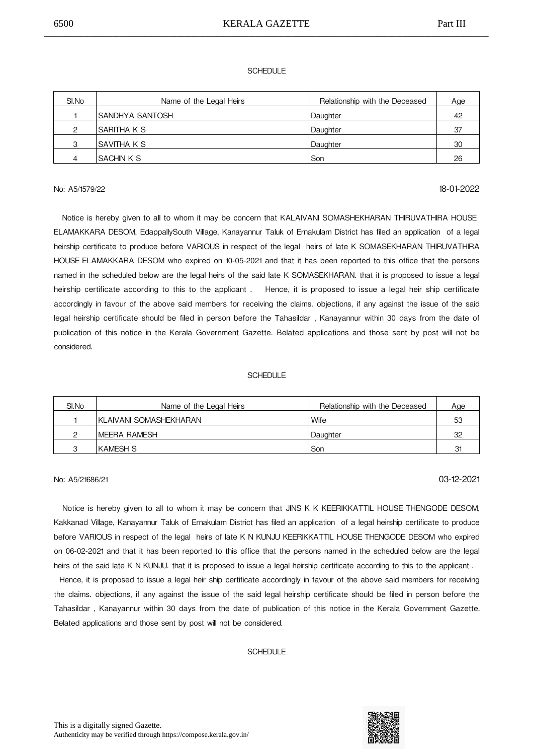### **SCHEDULE**

| SI.No | Name of the Legal Heirs | Relationship with the Deceased | Age |
|-------|-------------------------|--------------------------------|-----|
|       | ISANDHYA SANTOSH        | Daughter                       | 42  |
| っ     | SARITHA K S             | Daughter                       | 37  |
| 3     | ISAVITHA K S            | Daughter                       | 30  |
| 4     | <b>SACHIN K S</b>       | Son                            | 26  |

## No: A5/1579/22 18-01-2022

 Notice is hereby given to all to whom it may be concern that KALAIVANI SOMASHEKHARAN THIRUVATHIRA HOUSE ELAMAKKARA DESOM, EdappallySouth Village, Kanayannur Taluk of Ernakulam District has filed an application of a legal heirship certificate to produce before VARIOUS in respect of the legal heirs of late K SOMASEKHARAN THIRUVATHIRA HOUSE
ELAMAKKARA DESOM who expired on 10-05-2021 and that it has been reported to this office that the persons named in the scheduled below are the legal heirs of the said late K SOMASEKHARAN. that it is proposed to issue a legal heirship certificate according to this to the applicant. Hence, it is proposed to issue a legal heir ship certificate accordingly in favour of the above said members for receiving the claims. objections, if any against the issue of the said legal heirship certificate should be filed in person before the Tahasildar , Kanayannur within 30 days from the date of publication of this notice in the Kerala Government Gazette. Belated applications and those sent by post will not be considered.

### **SCHEDULE**

| SI.No | Name of the Legal Heirs | Relationship with the Deceased | Age |
|-------|-------------------------|--------------------------------|-----|
|       | IKLAIVANI SOMASHEKHARAN | Wife                           | 53  |
|       | <b>IMEERA RAMESH</b>    | Daughter                       | 32  |
|       | IKAMESH S               | Son                            | 31  |

## No: A5/21686/21 03-12-2021

Notice is hereby given to all to whom it may be concern that JINS K K KEERIKKATTIL HOUSE THENGODE DESOM, Kakkanad Village, Kanayannur Taluk of Ernakulam District has filed an application of a legal heirship certificate to produce before VARIOUS in respect of the legal heirs of late K N KUNJU KEERIKKATTIL HOUSE
THENGODE DESOM who expired on 06-02-2021 and that it has been reported to this office that the persons named in the scheduled below are the legal heirs of the said late K N KUNJU. that it is proposed to issue a legal heirship certificate according to this to the applicant .

 Hence, it is proposed to issue a legal heir ship certificate accordingly in favour of the above said members for receiving the claims. objections, if any against the issue of the said legal heirship certificate should be filed in person before the Tahasildar , Kanayannur within 30 days from the date of publication of this notice in the Kerala Government Gazette. Belated applications and those sent by post will not be considered.

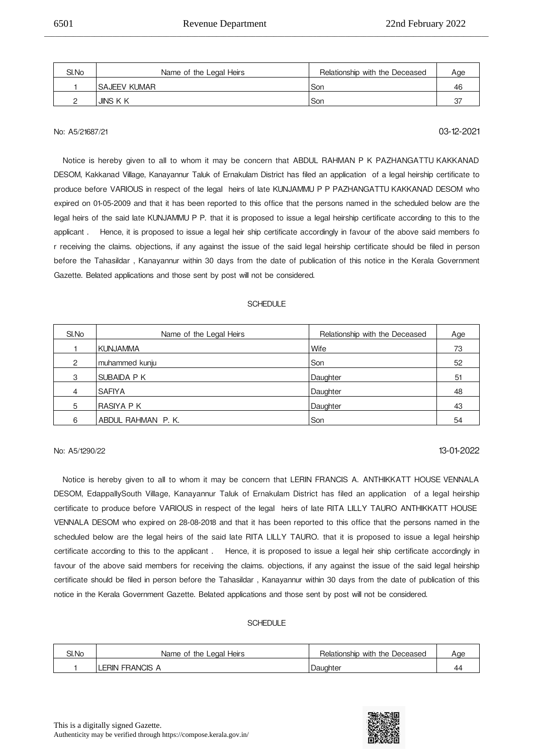| SI.No | Name of the Legal Heirs | Relationship with the Deceased | Age |
|-------|-------------------------|--------------------------------|-----|
|       | <b>ISAJEEV KUMAR</b>    | Son                            | 4b  |
|       | JINS K K                | Son                            |     |

\_\_\_\_\_\_\_\_\_\_\_\_\_\_\_\_\_\_\_\_\_\_\_\_\_\_\_\_\_\_\_\_\_\_\_\_\_\_\_\_\_\_\_\_\_\_\_\_\_\_\_\_\_\_\_\_\_\_\_\_\_\_\_\_\_\_\_\_\_\_\_\_\_\_\_\_\_\_\_\_\_\_\_\_\_\_\_\_\_\_\_\_\_\_\_\_\_\_\_\_\_\_\_\_\_\_\_\_\_\_\_\_\_\_\_\_\_\_\_\_\_\_\_\_

## No: A5/21687/21 03-12-2021

Notice is hereby given to all to whom it may be concern that ABDUL RAHMAN P K PAZHANGATTU KAKKANAD DESOM, Kakkanad Village, Kanayannur Taluk of Ernakulam District has filed an application of a legal heirship certificate to produce before VARIOUS in respect of the legal heirs of late KUNJAMMU P P PAZHANGATTU KAKKANAD DESOM who expired on 01-05-2009 and that it has been reported to this office that the persons named in the scheduled below are the legal heirs of the said late KUNJAMMU P P. that it is proposed to issue a legal heirship certificate according to this to the applicant . 

 Hence, it is proposed to issue a legal heir ship certificate accordingly in favour of the above said members fo r receiving the claims. objections, if any against the issue of the said legal heirship certificate should be filed in person before the Tahasildar , Kanayannur within 30 days from the date of publication of this notice in the Kerala Government Gazette. Belated applications and those sent by post will not be considered.

#### SCHEDULE

| SI.No | Name of the Legal Heirs | Relationship with the Deceased | Age |
|-------|-------------------------|--------------------------------|-----|
|       | <b>KUNJAMMA</b>         | Wife                           | 73  |
| 2     | muhammed kunju          | Son                            | 52  |
| 3     | SUBAIDA P K             | Daughter                       | 51  |
| 4     | <b>SAFIYA</b>           | Daughter                       | 48  |
| 5     | RASIYA P K              | Daughter                       | 43  |
| 6     | ABDUL RAHMAN P.K.       | Son                            | 54  |

## No: A5/1290/22 13-01-2022

Notice is hereby given to all to whom it may be concern that LERIN FRANCIS A. ANTHIKKATT HOUSE VENNALA DESOM, EdappallySouth Village, Kanayannur Taluk of Ernakulam District has filed an application of a legal heirship certificate to produce before VARIOUS in respect of the legal heirs of late RITA LILLY TAURO ANTHIKKATT HOUSE VENNALA DESOM who expired on 28-08-2018 and that it has been reported to this office that the persons named in the scheduled below are the legal heirs of the said late RITA LILLY TAURO. that it is proposed to issue a legal heirship certificate according to this to the applicant . Hence, it is proposed to issue a legal heir ship certificate accordingly in favour of the above said members for receiving the claims. objections, if any against the issue of the said legal heirship certificate should be filed in person before the Tahasildar , Kanayannur within 30 days from the date of publication of this notice in the Kerala Government Gazette. Belated applications and those sent by post will not be considered.

| SI.No | Name of the Legal Heirs | Relationship with the Deceased | Aae |
|-------|-------------------------|--------------------------------|-----|
|       | <b>LERIN FRANCIS A</b>  | Daughter                       | 44  |

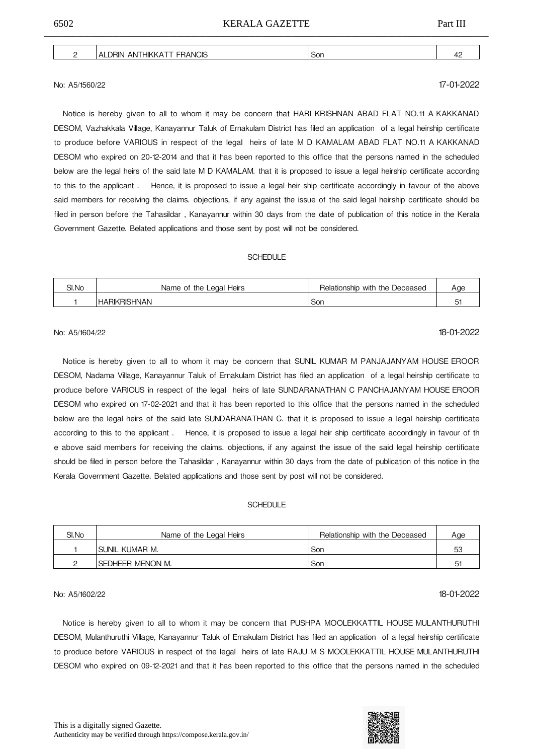| HIKI<br>лn<br>:Nľ<br>١N<br>. |  |
|------------------------------|--|
|                              |  |

## No: A5/1560/22 17-01-2022

Notice is hereby given to all to whom it may be concern that HARI KRISHNAN ABAD FLAT NO.11 A KAKKANAD DESOM, Vazhakkala Village, Kanayannur Taluk of Ernakulam District has filed an application of a legal heirship certificate to produce before VARIOUS in respect of the legal heirs of late M D KAMALAM ABAD FLAT NO.11 A KAKKANAD DESOM who expired on 20-12-2014 and that it has been reported to this office that the persons named in the scheduled below are the legal heirs of the said late M D KAMALAM. that it is proposed to issue a legal heirship certificate according to this to the applicant. Hence, it is proposed to issue a legal heir ship certificate accordingly in favour of the above said members for receiving the claims. objections, if any against the issue of the said legal heirship certificate should be filed in person before the Tahasildar , Kanayannur within 30 days from the date of publication of this notice in the Kerala Government Gazette. Belated applications and those sent by post will not be considered.

#### **SCHEDULE**

| SI.No | Heirs<br>the Legal<br>Name<br>0t | $\overline{\phantom{0}}$<br>the<br>Deceased<br>Relationship<br>with | Aae                           |
|-------|----------------------------------|---------------------------------------------------------------------|-------------------------------|
|       | <b>HARIKRISHNAN</b>              | Son                                                                 | $\overline{\phantom{0}}$<br>ັ |

## No: A5/1604/22 **18-01-2022**

Notice is hereby given to all to whom it may be concern that SUNIL KUMAR M PANJAJANYAM HOUSE EROOR DESOM, Nadama Village, Kanayannur Taluk of Ernakulam District has filed an application of a legal heirship certificate to produce before VARIOUS in respect of the legal heirs of late SUNDARANATHAN C PANCHAJANYAM HOUSE EROOR DESOM who expired on 17-02-2021 and that it has been reported to this office that the persons named in the scheduled below are the legal heirs of the said late SUNDARANATHAN C. that it is proposed to issue a legal heirship certificate according to this to the applicant . 

 Hence, it is proposed to issue a legal heir ship certificate accordingly in favour of th e above said members for receiving the claims. objections, if any against the issue of the said legal heirship certificate should be filed in person before the Tahasildar , Kanayannur within 30 days from the date of publication of this notice in the Kerala Government Gazette. Belated applications and those sent by post will not be considered.

#### SCHEDULE

| SI.No | Name of the Legal Heirs | Relationship with the Deceased | Aae |
|-------|-------------------------|--------------------------------|-----|
|       | ISUNIL KUMAR M.         | Son                            | 53  |
|       | SEDHEER MENON M.        | Son                            | ド   |

## No: A5/1602/22 18-01-2022

Notice is hereby given to all to whom it may be concern that PUSHPA MOOLEKKATTIL HOUSE MULANTHURUTHI DESOM, Mulanthuruthi Village, Kanayannur Taluk of Ernakulam District has filed an application of a legal heirship certificate to produce before VARIOUS in respect of the legal heirs of late RAJU M S MOOLEKKATTIL HOUSE
MULANTHURUTHI DESOM who expired on 09-12-2021 and that it has been reported to this office that the persons named in the scheduled



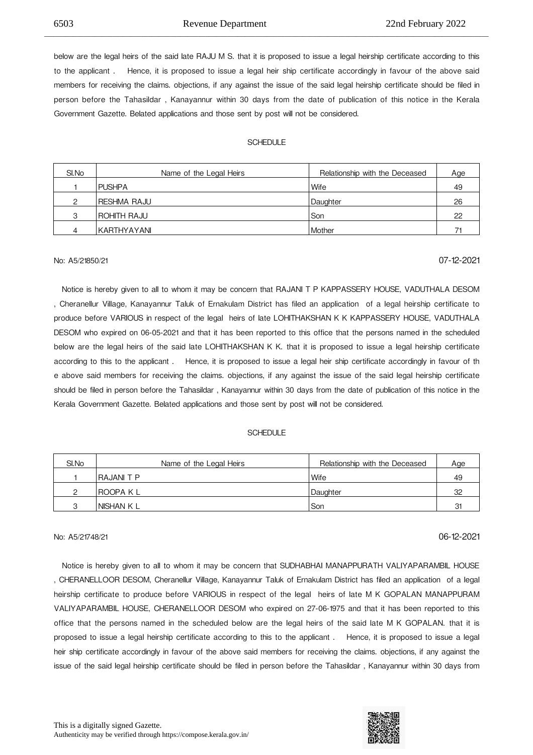below are the legal heirs of the said late RAJU M S. that it is proposed to issue a legal heirship certificate according to this to the applicant . 

 Hence, it is proposed to issue a legal heir ship certificate accordingly in favour of the above said members for receiving the claims. objections, if any against the issue of the said legal heirship certificate should be filed in person before the Tahasildar , Kanayannur within 30 days from the date of publication of this notice in the Kerala Government Gazette. Belated applications and those sent by post will not be considered.

\_\_\_\_\_\_\_\_\_\_\_\_\_\_\_\_\_\_\_\_\_\_\_\_\_\_\_\_\_\_\_\_\_\_\_\_\_\_\_\_\_\_\_\_\_\_\_\_\_\_\_\_\_\_\_\_\_\_\_\_\_\_\_\_\_\_\_\_\_\_\_\_\_\_\_\_\_\_\_\_\_\_\_\_\_\_\_\_\_\_\_\_\_\_\_\_\_\_\_\_\_\_\_\_\_\_\_\_\_\_\_\_\_\_\_\_\_\_\_\_\_\_\_\_

#### SCHEDULE

| SI.No | Name of the Legal Heirs | Relationship with the Deceased | Age |
|-------|-------------------------|--------------------------------|-----|
|       | <b>IPUSHPA</b>          | Wife                           | 49  |
| っ     | <b>RESHMA RAJU</b>      | Daughter                       | 26  |
| 3     | ROHITH RAJU             | Son                            | 22  |
| 4     | IKARTHYAYANI            | Mother                         | 71  |

## No: A5/21850/21 07-12-2021

 Notice is hereby given to all to whom it may be concern that RAJANI T P KAPPASSERY HOUSE, VADUTHALA DESOM , Cheranellur Village, Kanayannur Taluk of Ernakulam District has filed an application of a legal heirship certificate to produce before VARIOUS in respect of the legal heirs of late LOHITHAKSHAN K K KAPPASSERY HOUSE, VADUTHALA DESOM who expired on 06-05-2021 and that it has been reported to this office that the persons named in the scheduled below are the legal heirs of the said late LOHITHAKSHAN K K. that it is proposed to issue a legal heirship certificate according to this to the applicant . 

 Hence, it is proposed to issue a legal heir ship certificate accordingly in favour of th e above said members for receiving the claims. objections, if any against the issue of the said legal heirship certificate should be filed in person before the Tahasildar , Kanayannur within 30 days from the date of publication of this notice in the Kerala Government Gazette. Belated applications and those sent by post will not be considered.

#### **SCHEDULE**

| SI.No | Name of the Legal Heirs | Relationship with the Deceased | Age      |
|-------|-------------------------|--------------------------------|----------|
|       | <b>RAJANIT P</b>        | l Wife                         | 49       |
|       | IROOPA K L              | Daughter                       | 32       |
| ◠     | INISHAN K L             | l Son                          | -21<br>◡ |

## No: A5/21748/21 06-12-2021

 Notice is hereby given to all to whom it may be concern that SUDHABHAI MANAPPURATH VALIYAPARAMBIL HOUSE , CHERANELLOOR DESOM, Cheranellur Village, Kanayannur Taluk of Ernakulam District has filed an application of a legal heirship certificate to produce before VARIOUS in respect of the legal heirs of late M K GOPALAN MANAPPURAM VALIYAPARAMBIL HOUSE, CHERANELLOOR DESOM who expired on 27-06-1975 and that it has been reported to this office that the persons named in the scheduled below are the legal heirs of the said late M K GOPALAN. that it is proposed to issue a legal heirship certificate according to this to the applicant. Hence, it is proposed to issue a legal heir ship certificate accordingly in favour of the above said members for receiving the claims. objections, if any against the issue of the said legal heirship certificate should be filed in person before the Tahasildar , Kanayannur within 30 days from



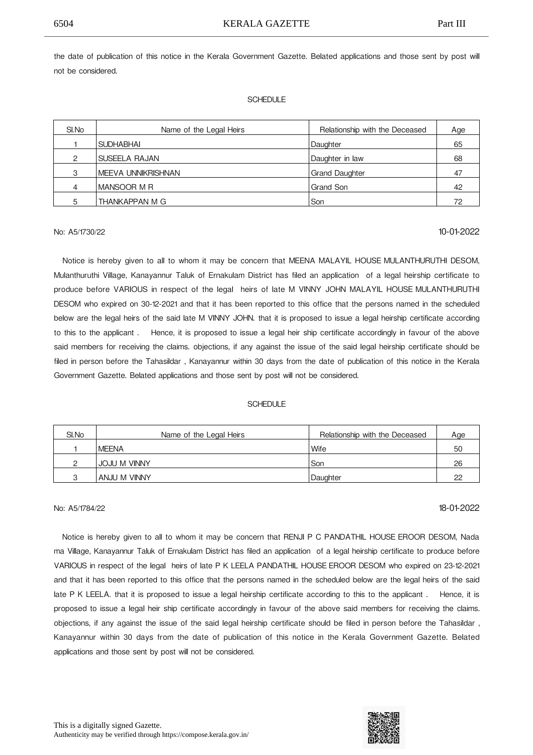the date of publication of this notice in the Kerala Government Gazette. Belated applications and those sent by post will not be considered.

#### **SCHEDULE**

| SI.No | Name of the Legal Heirs | Relationship with the Deceased | Age |
|-------|-------------------------|--------------------------------|-----|
|       | <b>SUDHABHAI</b>        | Daughter                       | 65  |
| 2     | SUSEELA RAJAN           | Daughter in law                | 68  |
| З     | IMEEVA UNNIKRISHNAN     | <b>Grand Daughter</b>          | 47  |
|       | IMANSOOR M R            | Grand Son                      | 42  |
| 5     | THANKAPPAN M G          | Son                            | 72  |

No: A5/1730/22 10-01-2022

Notice is hereby given to all to whom it may be concern that MEENA MALAYIL HOUSE MULANTHURUTHI DESOM, Mulanthuruthi Village, Kanayannur Taluk of Ernakulam District has filed an application of a legal heirship certificate to produce before VARIOUS in respect of the legal heirs of late M VINNY JOHN MALAYIL HOUSE MULANTHURUTHI DESOM who expired on 30-12-2021 and that it has been reported to this office that the persons named in the scheduled below are the legal heirs of the said late M VINNY JOHN. that it is proposed to issue a legal heirship certificate according to this to the applicant. Hence, it is proposed to issue a legal heir ship certificate accordingly in favour of the above said members for receiving the claims. objections, if any against the issue of the said legal heirship certificate should be filed in person before the Tahasildar , Kanayannur within 30 days from the date of publication of this notice in the Kerala Government Gazette. Belated applications and those sent by post will not be considered.

#### **SCHEDULE**

| SI.No | Name of the Legal Heirs | Relationship with the Deceased | Age |
|-------|-------------------------|--------------------------------|-----|
|       | <b>IMEENA</b>           | <b>Wife</b>                    | 50  |
|       | <b>JOJU M VINNY</b>     | l Son                          | 26  |
|       | ANJU M VINNY            | Daughter                       | റ്റ |

## No: A5/1784/22 **18-01-2022**

 Notice is hereby given to all to whom it may be concern that RENJI P C PANDATHIL HOUSE
EROOR DESOM, Nada ma Village, Kanayannur Taluk of Ernakulam District has filed an application of a legal heirship certificate to produce before VARIOUS in respect of the legal heirs of late P K LEELA PANDATHIL HOUSE
EROOR DESOM who expired on 23-12-2021 and that it has been reported to this office that the persons named in the scheduled below are the legal heirs of the said late P K LEELA, that it is proposed to issue a legal heirship certificate according to this to the applicant. Hence, it is proposed to issue a legal heir ship certificate accordingly in favour of the above said members for receiving the claims. objections, if any against the issue of the said legal heirship certificate should be filed in person before the Tahasildar , Kanayannur within 30 days from the date of publication of this notice in the Kerala Government Gazette. Belated applications and those sent by post will not be considered.



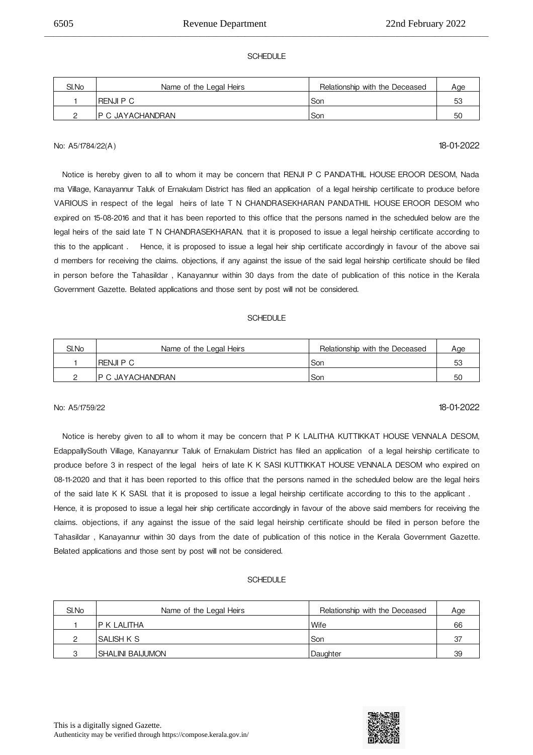### SCHEDULE

\_\_\_\_\_\_\_\_\_\_\_\_\_\_\_\_\_\_\_\_\_\_\_\_\_\_\_\_\_\_\_\_\_\_\_\_\_\_\_\_\_\_\_\_\_\_\_\_\_\_\_\_\_\_\_\_\_\_\_\_\_\_\_\_\_\_\_\_\_\_\_\_\_\_\_\_\_\_\_\_\_\_\_\_\_\_\_\_\_\_\_\_\_\_\_\_\_\_\_\_\_\_\_\_\_\_\_\_\_\_\_\_\_\_\_\_\_\_\_\_\_\_\_\_

| SI.No | Name of the Legal Heirs | Relationship with the Deceased | Age |
|-------|-------------------------|--------------------------------|-----|
|       | RENJI P C               | Son                            | 53  |
|       | IP C JAYACHANDRAN       | Son                            | 50  |

## No: A5/1784/22(A) 18-01-2022

 Notice is hereby given to all to whom it may be concern that RENJI P C PANDATHIL HOUSE
EROOR DESOM, Nada ma Village, Kanayannur Taluk of Ernakulam District has filed an application of a legal heirship certificate to produce before VARIOUS in respect of the legal heirs of late T N CHANDRASEKHARAN PANDATHIL HOUSE
EROOR DESOM who expired on 15-08-2016 and that it has been reported to this office that the persons named in the scheduled below are the legal heirs of the said late T N CHANDRASEKHARAN. that it is proposed to issue a legal heirship certificate according to this to the applicant. Hence, it is proposed to issue a legal heir ship certificate accordingly in favour of the above sai d members for receiving the claims. objections, if any against the issue of the said legal heirship certificate should be filed in person before the Tahasildar , Kanayannur within 30 days from the date of publication of this notice in the Kerala Government Gazette. Belated applications and those sent by post will not be considered.

### SCHEDULE

| SI.No | Name of the Legal Heirs | Relationship with the Deceased | Age |
|-------|-------------------------|--------------------------------|-----|
|       | IRENJI P C              | l Son                          | 53  |
|       | IP C JAYACHANDRAN       | l Son                          | 50  |

## No: A5/1759/22 18-01-2022

 Notice is hereby given to all to whom it may be concern that P K LALITHA KUTTIKKAT HOUSE
VENNALA DESOM, EdappallySouth Village, Kanayannur Taluk of Ernakulam District has filed an application of a legal heirship certificate to produce before 3 in respect of the legal heirs of late K K SASI KUTTIKKAT HOUSE
VENNALA DESOM who expired on 08-11-2020 and that it has been reported to this office that the persons named in the scheduled below are the legal heirs of the said late K K SASI. that it is proposed to issue a legal heirship certificate according to this to the applicant . Hence, it is proposed to issue a legal heir ship certificate accordingly in favour of the above said members for receiving the claims. objections, if any against the issue of the said legal heirship certificate should be filed in person before the Tahasildar , Kanayannur within 30 days from the date of publication of this notice in the Kerala Government Gazette. Belated applications and those sent by post will not be considered.

| SI.No | Name of the Legal Heirs | Relationship with the Deceased | Age |
|-------|-------------------------|--------------------------------|-----|
|       | IP K LALITHA            | Wife                           | 66  |
|       | ISALISH K S             | Son                            | 37  |
| ◠     | ISHALINI BAIJUMON       | Daughter                       | 39  |

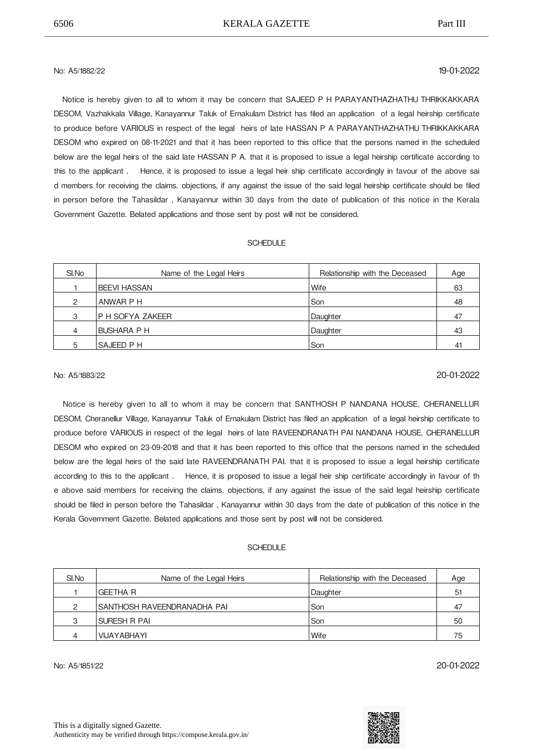## No: A5/1882/22 19-01-2022

Notice is hereby given to all to whom it may be concern that SAJEED P H PARAYANTHAZHATHU THRIKKAKKARA DESOM, Vazhakkala Village, Kanayannur Taluk of Ernakulam District has filed an application of a legal heirship certificate to produce before VARIOUS in respect of the legal heirs of late HASSAN P A PARAYANTHAZHATHU
THRIKKAKKARA DESOM who expired on 08-11-2021 and that it has been reported to this office that the persons named in the scheduled below are the legal heirs of the said late HASSAN P A. that it is proposed to issue a legal heirship certificate according to this to the applicant . Hence, it is proposed to issue a legal heir ship certificate accordingly in favour of the above sai d members for receiving the claims. objections, if any against the issue of the said legal heirship certificate should be filed in person before the Tahasildar , Kanayannur within 30 days from the date of publication of this notice in the Kerala Government Gazette. Belated applications and those sent by post will not be considered.

### SCHEDULE

| SI.No | Name of the Legal Heirs | Relationship with the Deceased | Age |
|-------|-------------------------|--------------------------------|-----|
|       | IBEEVI HASSAN           | Wife                           | 63  |
| 2     | ANWAR P H               | Son                            | 48  |
| 3     | P H SOFYA ZAKEER        | Daughter                       | 47  |
| 4     | <b>BUSHARA P H</b>      | Daughter                       | 43  |
| 5     | <b>SAJEED P H</b>       | Son                            | 41  |

## No: A5/1883/22 20-01-2022

 Notice is hereby given to all to whom it may be concern that SANTHOSH P NANDANA HOUSE, CHERANELLUR DESOM, Cheranellur Village, Kanayannur Taluk of Ernakulam District has filed an application of a legal heirship certificate to produce before VARIOUS in respect of the legal heirs of late RAVEENDRANATH PAI NANDANA HOUSE, CHERANELLUR DESOM who expired on 23-09-2018 and that it has been reported to this office that the persons named in the scheduled below are the legal heirs of the said late RAVEENDRANATH PAI. that it is proposed to issue a legal heirship certificate according to this to the applicant . 

 Hence, it is proposed to issue a legal heir ship certificate accordingly in favour of th e above said members for receiving the claims. objections, if any against the issue of the said legal heirship certificate should be filed in person before the Tahasildar , Kanayannur within 30 days from the date of publication of this notice in the Kerala Government Gazette. Belated applications and those sent by post will not be considered.

#### SCHEDULE

| SI.No | Name of the Legal Heirs      | Relationship with the Deceased | Age |
|-------|------------------------------|--------------------------------|-----|
|       | <b>GEETHA R</b>              | Daughter                       | 51  |
| ◠     | ISANTHOSH RAVEENDRANADHA PAI | Son                            |     |
| ◠     | ISURESH R PAI                | l Son                          | 50  |
|       | VIJAYABHAYI                  | <b>Wife</b>                    | 75  |

No: A5/1851/22 20-01-2022

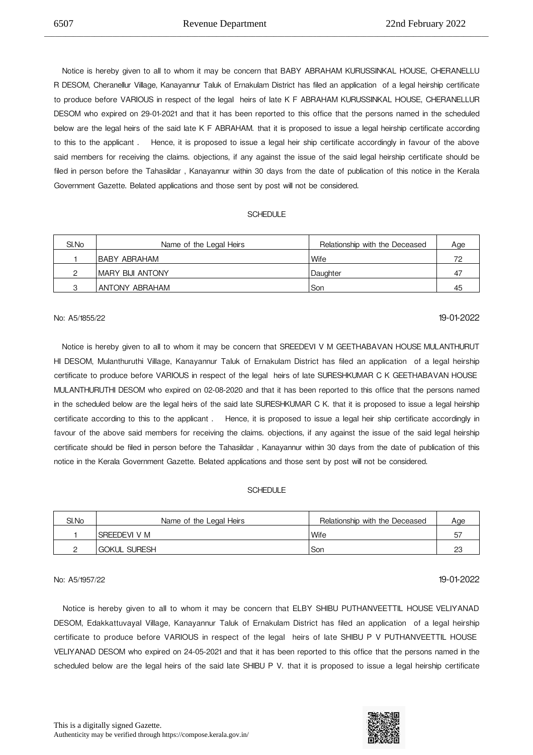Notice is hereby given to all to whom it may be concern that BABY ABRAHAM KURUSSINKAL HOUSE, CHERANELLU R DESOM, Cheranellur Village, Kanayannur Taluk of Ernakulam District has filed an application of a legal heirship certificate to produce before VARIOUS in respect of the legal heirs of late K F ABRAHAM KURUSSINKAL HOUSE, CHERANELLUR DESOM who expired on 29-01-2021 and that it has been reported to this office that the persons named in the scheduled below are the legal heirs of the said late K F ABRAHAM. that it is proposed to issue a legal heirship certificate according to this to the applicant. Hence, it is proposed to issue a legal heir ship certificate accordingly in favour of the above said members for receiving the claims. objections, if any against the issue of the said legal heirship certificate should be filed in person before the Tahasildar , Kanayannur within 30 days from the date of publication of this notice in the Kerala Government Gazette. Belated applications and those sent by post will not be considered.

\_\_\_\_\_\_\_\_\_\_\_\_\_\_\_\_\_\_\_\_\_\_\_\_\_\_\_\_\_\_\_\_\_\_\_\_\_\_\_\_\_\_\_\_\_\_\_\_\_\_\_\_\_\_\_\_\_\_\_\_\_\_\_\_\_\_\_\_\_\_\_\_\_\_\_\_\_\_\_\_\_\_\_\_\_\_\_\_\_\_\_\_\_\_\_\_\_\_\_\_\_\_\_\_\_\_\_\_\_\_\_\_\_\_\_\_\_\_\_\_\_\_\_\_

### **SCHEDULE**

| SI.No | Name of the Legal Heirs | Relationship with the Deceased | Age |
|-------|-------------------------|--------------------------------|-----|
|       | IBABY ABRAHAM           | 'Wife                          | 70  |
|       | IMARY BIJI ANTONY       | Daughter                       | 47  |
|       | ANTONY ABRAHAM          | Son                            | 45  |

## No: A5/1855/22 19-01-2022

 Notice is hereby given to all to whom it may be concern that SREEDEVI V M GEETHABAVAN HOUSE
MULANTHURUT HI DESOM, Mulanthuruthi Village, Kanayannur Taluk of Ernakulam District has filed an application of a legal heirship certificate to produce before VARIOUS in respect of the legal heirs of late SURESHKUMAR C K GEETHABAVAN HOUSE MULANTHURUTHI DESOM who expired on 02-08-2020 and that it has been reported to this office that the persons named in the scheduled below are the legal heirs of the said late SURESHKUMAR C K. that it is proposed to issue a legal heirship certificate according to this to the applicant. Hence, it is proposed to issue a legal heir ship certificate accordingly in favour of the above said members for receiving the claims. objections, if any against the issue of the said legal heirship certificate should be filed in person before the Tahasildar , Kanayannur within 30 days from the date of publication of this notice in the Kerala Government Gazette. Belated applications and those sent by post will not be considered.

#### **SCHEDULE**

| SI.No | Name of the Legal Heirs | Relationship with the Deceased | Age |
|-------|-------------------------|--------------------------------|-----|
|       | <b>SREEDEVI V M</b>     | Wife                           | ხ   |
|       | <b>GOKUL SURESH</b>     | Son                            | 23  |

## No: A5/1957/22 19-01-2022

Notice is hereby given to all to whom it may be concern that ELBY SHIBU PUTHANVEETTIL HOUSE VELIYANAD DESOM, Edakkattuvayal Village, Kanayannur Taluk of Ernakulam District has filed an application of a legal heirship certificate to produce before VARIOUS in respect of the legal heirs of late SHIBU P V PUTHANVEETTIL HOUSE VELIYANAD DESOM who expired on 24-05-2021 and that it has been reported to this office that the persons named in the scheduled below are the legal heirs of the said late SHIBU P V. that it is proposed to issue a legal heirship certificate

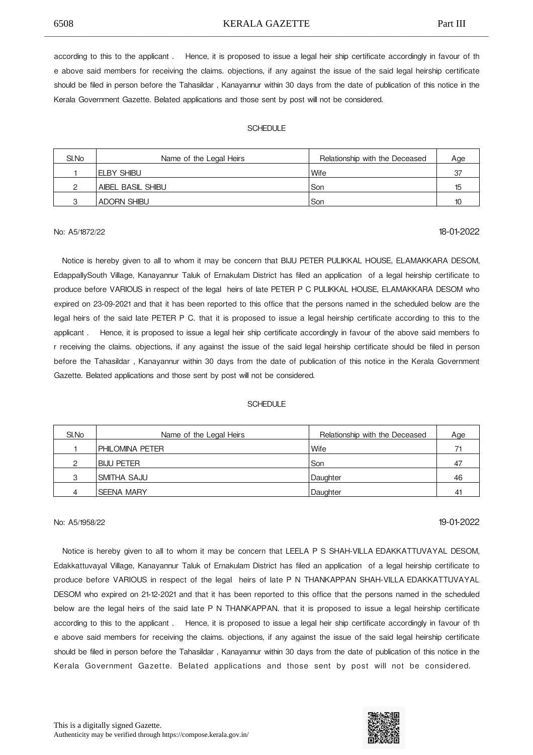6508 KERALA GAZETTE Part III \_\_\_\_\_\_\_\_\_\_\_\_\_\_\_\_\_\_\_\_\_\_\_\_\_\_\_\_\_\_\_\_\_\_\_\_\_\_\_\_\_\_\_\_\_\_\_\_\_\_\_\_\_\_\_\_\_\_\_\_\_\_\_\_\_\_\_\_\_\_\_\_\_\_\_\_\_\_\_\_\_\_\_\_\_\_\_\_\_\_\_\_\_\_\_\_\_\_\_\_\_\_\_\_\_\_\_\_\_\_\_\_\_\_\_\_\_\_\_\_\_\_\_\_

according to this to the applicant . 

 Hence, it is proposed to issue a legal heir ship certificate accordingly in favour of th e above said members for receiving the claims. objections, if any against the issue of the said legal heirship certificate should be filed in person before the Tahasildar , Kanayannur within 30 days from the date of publication of this notice in the Kerala Government Gazette. Belated applications and those sent by post will not be considered.

#### **SCHEDULE**

| SI.No | Name of the Legal Heirs | Relationship with the Deceased | Age              |
|-------|-------------------------|--------------------------------|------------------|
|       | <b>IELBY SHIBU</b>      | Wife                           | 37               |
| ◠     | AIBEL BASIL SHIBU       | Son                            | 15               |
| ◠     | <b>ADORN SHIBU</b>      | Son                            | 10 <sup>10</sup> |

## No: A5/1872/22 18-01-2022

 Notice is hereby given to all to whom it may be concern that BIJU PETER PULIKKAL HOUSE, ELAMAKKARA DESOM, EdappallySouth Village, Kanayannur Taluk of Ernakulam District has filed an application of a legal heirship certificate to produce before VARIOUS in respect of the legal heirs of late PETER P C PULIKKAL HOUSE, ELAMAKKARA DESOM who expired on 23-09-2021 and that it has been reported to this office that the persons named in the scheduled below are the legal heirs of the said late PETER P C. that it is proposed to issue a legal heirship certificate according to this to the applicant . 

 Hence, it is proposed to issue a legal heir ship certificate accordingly in favour of the above said members fo r receiving the claims. objections, if any against the issue of the said legal heirship certificate should be filed in person before the Tahasildar , Kanayannur within 30 days from the date of publication of this notice in the Kerala Government Gazette. Belated applications and those sent by post will not be considered.

#### **SCHEDULE**

| SI.No | Name of the Legal Heirs | Relationship with the Deceased | Age            |
|-------|-------------------------|--------------------------------|----------------|
|       | PHILOMINA PETER         | <b>Wife</b>                    | 71             |
| ⌒     | I BIJU PETER            | l Son                          | 47             |
| 3     | <b>SMITHA SAJU</b>      | Daughter                       | 46             |
|       | <b>SEENA MARY</b>       | Daughter                       | 4 <sup>1</sup> |

## No: A5/1958/22 19-01-2022

 Notice is hereby given to all to whom it may be concern that LEELA P S SHAH-VILLA
EDAKKATTUVAYAL DESOM, Edakkattuvayal Village, Kanayannur Taluk of Ernakulam District has filed an application of a legal heirship certificate to produce before VARIOUS in respect of the legal heirs of late P N THANKAPPAN SHAH-VILLA
EDAKKATTUVAYAL DESOM who expired on 21-12-2021 and that it has been reported to this office that the persons named in the scheduled below are the legal heirs of the said late P N THANKAPPAN. that it is proposed to issue a legal heirship certificate according to this to the applicant . 

 Hence, it is proposed to issue a legal heir ship certificate accordingly in favour of th e above said members for receiving the claims. objections, if any against the issue of the said legal heirship certificate should be filed in person before the Tahasildar , Kanayannur within 30 days from the date of publication of this notice in the Kerala Government Gazette. Belated applications and those sent by post will not be considered.

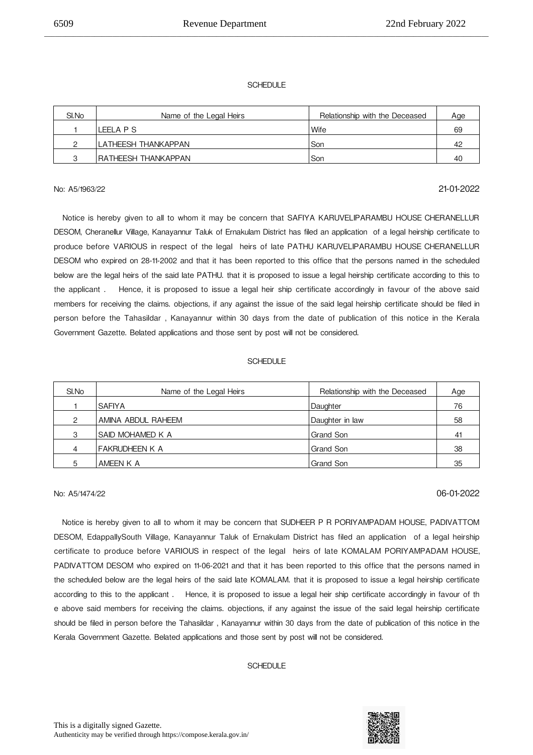### **SCHEDULE**

\_\_\_\_\_\_\_\_\_\_\_\_\_\_\_\_\_\_\_\_\_\_\_\_\_\_\_\_\_\_\_\_\_\_\_\_\_\_\_\_\_\_\_\_\_\_\_\_\_\_\_\_\_\_\_\_\_\_\_\_\_\_\_\_\_\_\_\_\_\_\_\_\_\_\_\_\_\_\_\_\_\_\_\_\_\_\_\_\_\_\_\_\_\_\_\_\_\_\_\_\_\_\_\_\_\_\_\_\_\_\_\_\_\_\_\_\_\_\_\_\_\_\_\_

| SI.No | Name of the Legal Heirs | Relationship with the Deceased | Age |
|-------|-------------------------|--------------------------------|-----|
|       | LEELA P S               | Wife                           | 69  |
|       | LATHEESH THANKAPPAN     | Son                            | 42  |
|       | IRATHEESH THANKAPPAN    | Son                            | 40  |

## No: A5/1963/22 21-01-2022

 Notice is hereby given to all to whom it may be concern that SAFIYA KARUVELIPARAMBU HOUSE
CHERANELLUR DESOM, Cheranellur Village, Kanayannur Taluk of Ernakulam District has filed an application of a legal heirship certificate to produce before VARIOUS in respect of the legal heirs of late PATHU KARUVELIPARAMBU HOUSE
CHERANELLUR DESOM who expired on 28-11-2002 and that it has been reported to this office that the persons named in the scheduled below are the legal heirs of the said late PATHU. that it is proposed to issue a legal heirship certificate according to this to the applicant . 

 Hence, it is proposed to issue a legal heir ship certificate accordingly in favour of the above said members for receiving the claims. objections, if any against the issue of the said legal heirship certificate should be filed in person before the Tahasildar , Kanayannur within 30 days from the date of publication of this notice in the Kerala Government Gazette. Belated applications and those sent by post will not be considered.

### SCHEDULE

| SI.No | Name of the Legal Heirs | Relationship with the Deceased | Age |
|-------|-------------------------|--------------------------------|-----|
|       | <b>SAFIYA</b>           | Daughter                       | 76  |
| 2     | AMINA ABDUL RAHEEM      | Daughter in law                | 58  |
| 3     | SAID MOHAMED K A        | Grand Son                      | 41  |
| 4     | FAKRUDHEEN K A          | Grand Son                      | 38  |
| 5     | AMEEN K A               | Grand Son                      | 35  |

## No: A5/1474/22 06-01-2022

 Notice is hereby given to all to whom it may be concern that SUDHEER P R PORIYAMPADAM HOUSE, PADIVATTOM DESOM, EdappallySouth Village, Kanayannur Taluk of Ernakulam District has filed an application of a legal heirship certificate to produce before VARIOUS in respect of the legal heirs of late KOMALAM PORIYAMPADAM HOUSE, PADIVATTOM DESOM who expired on 11-06-2021 and that it has been reported to this office that the persons named in the scheduled below are the legal heirs of the said late KOMALAM. that it is proposed to issue a legal heirship certificate according to this to the applicant . 

 Hence, it is proposed to issue a legal heir ship certificate accordingly in favour of th e above said members for receiving the claims. objections, if any against the issue of the said legal heirship certificate should be filed in person before the Tahasildar , Kanayannur within 30 days from the date of publication of this notice in the Kerala Government Gazette. Belated applications and those sent by post will not be considered.



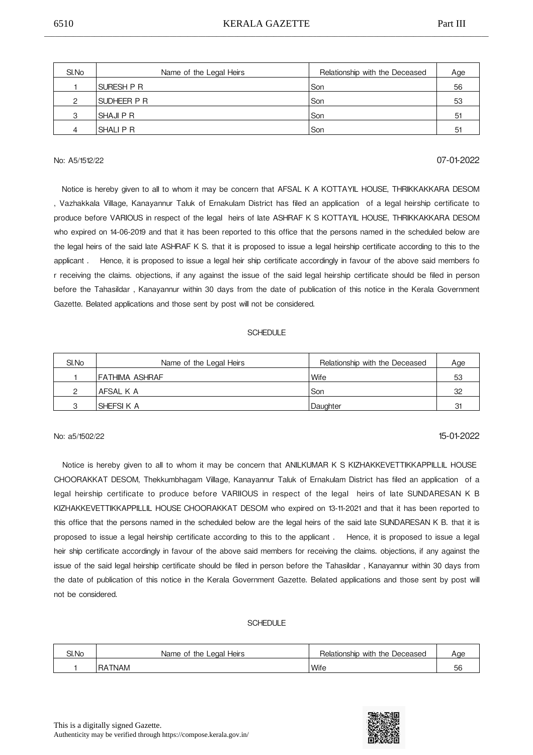| SI.No | Name of the Legal Heirs | Relationship with the Deceased | Age |
|-------|-------------------------|--------------------------------|-----|
|       | <b>SURESH P R</b>       | Son                            | 56  |
| C     | SUDHEER P R             | Son                            | 53  |
| 3     | <b>SHAJIPR</b>          | Son                            | 51  |
| 4     | <b>SHALIPR</b>          | Son                            | 51  |

## No: A5/1512/22 07-01-2022

 Notice is hereby given to all to whom it may be concern that AFSAL K A KOTTAYIL HOUSE, THRIKKAKKARA DESOM , Vazhakkala Village, Kanayannur Taluk of Ernakulam District has filed an application of a legal heirship certificate to produce before VARIOUS in respect of the legal heirs of late ASHRAF K S KOTTAYIL HOUSE, THRIKKAKKARA DESOM who expired on 14-06-2019 and that it has been reported to this office that the persons named in the scheduled below are the legal heirs of the said late ASHRAF K S. that it is proposed to issue a legal heirship certificate according to this to the applicant . 

 Hence, it is proposed to issue a legal heir ship certificate accordingly in favour of the above said members fo r receiving the claims. objections, if any against the issue of the said legal heirship certificate should be filed in person before the Tahasildar , Kanayannur within 30 days from the date of publication of this notice in the Kerala Government Gazette. Belated applications and those sent by post will not be considered.

#### **SCHEDULE**

| SI.No | Name of the Legal Heirs | Relationship with the Deceased | Age |
|-------|-------------------------|--------------------------------|-----|
|       | IFATHIMA ASHRAF         | Wife                           | 53  |
| ∩     | AFSAL K A               | Son                            | 32  |
| ◠     | <b>SHEFSIKA</b>         | Daughter                       | 31  |

## No: a5/1502/22 15-01-2022

Notice is hereby given to all to whom it may be concern that ANILKUMAR K S KIZHAKKEVETTIKKAPPILLIL HOUSE CHOORAKKAT DESOM, Thekkumbhagam Village, Kanayannur Taluk of Ernakulam District has filed an application of a legal heirship certificate to produce before VARIIOUS in respect of the legal heirs of late SUNDARESAN K B KIZHAKKEVETTIKKAPPILLIL HOUSE
CHOORAKKAT DESOM who expired on 13-11-2021 and that it has been reported to this office that the persons named in the scheduled below are the legal heirs of the said late SUNDARESAN K B. that it is proposed to issue a legal heirship certificate according to this to the applicant . Hence, it is proposed to issue a legal heir ship certificate accordingly in favour of the above said members for receiving the claims. objections, if any against the issue of the said legal heirship certificate should be filed in person before the Tahasildar , Kanayannur within 30 days from the date of publication of this notice in the Kerala Government Gazette. Belated applications and those sent by post will not be considered.

| SI.No | Heirs<br>Name of the Legal     | Relationship with the Deceased | Aae     |
|-------|--------------------------------|--------------------------------|---------|
|       | <b>TNAM</b><br>RA <sup>®</sup> | <b>Wife</b>                    | 56<br>◡ |